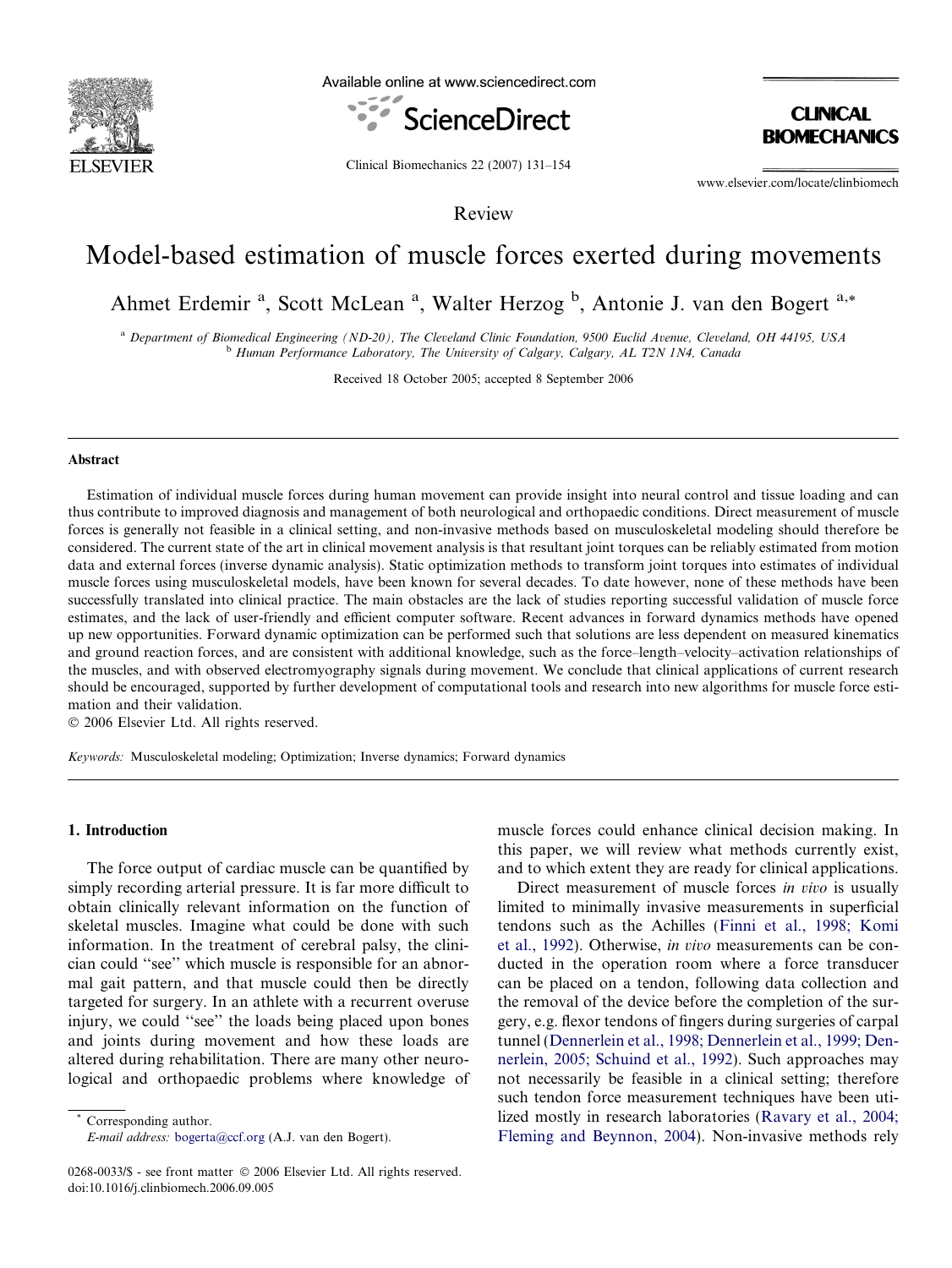

Available online at www.sciencedirect.com



**CLINICAL BIOMECHANICS** 

Clinical Biomechanics 22 (2007) 131–154

www.elsevier.com/locate/clinbiomech

Review

# Model-based estimation of muscle forces exerted during movements

Ahmet Erdemir<sup>a</sup>, Scott McLean<sup>a</sup>, Walter Herzog<sup>b</sup>, Antonie J. van den Bogert<sup>a,\*</sup>

<sup>a</sup> Department of Biomedical Engineering (ND-20), The Cleveland Clinic Foundation, 9500 Euclid Avenue, Cleveland, OH 44195, USA <sup>b</sup> Human Performance Laboratory, The University of Calgary, Calgary, AL T2N 1N4, Canada

Received 18 October 2005; accepted 8 September 2006

#### Abstract

Estimation of individual muscle forces during human movement can provide insight into neural control and tissue loading and can thus contribute to improved diagnosis and management of both neurological and orthopaedic conditions. Direct measurement of muscle forces is generally not feasible in a clinical setting, and non-invasive methods based on musculoskeletal modeling should therefore be considered. The current state of the art in clinical movement analysis is that resultant joint torques can be reliably estimated from motion data and external forces (inverse dynamic analysis). Static optimization methods to transform joint torques into estimates of individual muscle forces using musculoskeletal models, have been known for several decades. To date however, none of these methods have been successfully translated into clinical practice. The main obstacles are the lack of studies reporting successful validation of muscle force estimates, and the lack of user-friendly and efficient computer software. Recent advances in forward dynamics methods have opened up new opportunities. Forward dynamic optimization can be performed such that solutions are less dependent on measured kinematics and ground reaction forces, and are consistent with additional knowledge, such as the force–length–velocity–activation relationships of the muscles, and with observed electromyography signals during movement. We conclude that clinical applications of current research should be encouraged, supported by further development of computational tools and research into new algorithms for muscle force estimation and their validation.

© 2006 Elsevier Ltd. All rights reserved.

Keywords: Musculoskeletal modeling; Optimization; Inverse dynamics; Forward dynamics

### 1. Introduction

The force output of cardiac muscle can be quantified by simply recording arterial pressure. It is far more difficult to obtain clinically relevant information on the function of skeletal muscles. Imagine what could be done with such information. In the treatment of cerebral palsy, the clinician could ''see'' which muscle is responsible for an abnormal gait pattern, and that muscle could then be directly targeted for surgery. In an athlete with a recurrent overuse injury, we could ''see'' the loads being placed upon bones and joints during movement and how these loads are altered during rehabilitation. There are many other neurological and orthopaedic problems where knowledge of

Corresponding author. E-mail address: [bogerta@ccf.org](mailto:bogerta@ccf.org) (A.J. van den Bogert). muscle forces could enhance clinical decision making. In this paper, we will review what methods currently exist, and to which extent they are ready for clinical applications.

Direct measurement of muscle forces in vivo is usually limited to minimally invasive measurements in superficial tendons such as the Achilles [\(Finni et al., 1998; Komi](#page-20-0) [et al., 1992](#page-20-0)). Otherwise, in vivo measurements can be conducted in the operation room where a force transducer can be placed on a tendon, following data collection and the removal of the device before the completion of the surgery, e.g. flexor tendons of fingers during surgeries of carpal tunnel ([Dennerlein et al., 1998; Dennerlein et al., 1999; Den](#page-20-0)[nerlein, 2005; Schuind et al., 1992\)](#page-20-0). Such approaches may not necessarily be feasible in a clinical setting; therefore such tendon force measurement techniques have been utilized mostly in research laboratories [\(Ravary et al., 2004;](#page-22-0) [Fleming and Beynnon, 2004\)](#page-22-0). Non-invasive methods rely

<sup>0268-0033/\$ -</sup> see front matter © 2006 Elsevier Ltd. All rights reserved. doi:10.1016/j.clinbiomech.2006.09.005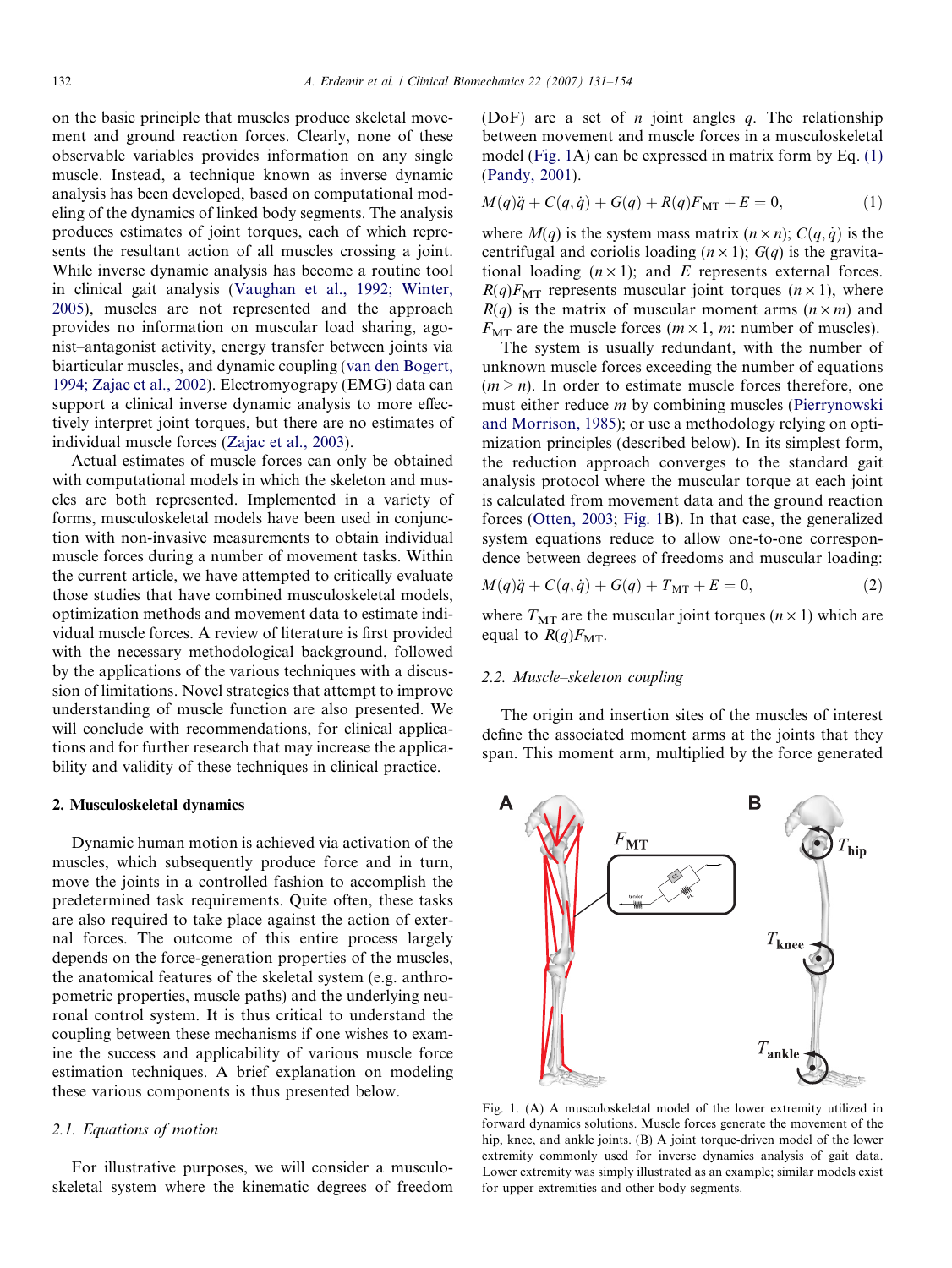<span id="page-1-0"></span>on the basic principle that muscles produce skeletal movement and ground reaction forces. Clearly, none of these observable variables provides information on any single muscle. Instead, a technique known as inverse dynamic analysis has been developed, based on computational modeling of the dynamics of linked body segments. The analysis produces estimates of joint torques, each of which represents the resultant action of all muscles crossing a joint. While inverse dynamic analysis has become a routine tool in clinical gait analysis ([Vaughan et al., 1992; Winter,](#page-22-0) [2005\)](#page-22-0), muscles are not represented and the approach provides no information on muscular load sharing, agonist–antagonist activity, energy transfer between joints via biarticular muscles, and dynamic coupling ([van den Bogert,](#page-22-0) [1994; Zajac et al., 2002](#page-22-0)). Electromyograpy (EMG) data can support a clinical inverse dynamic analysis to more effectively interpret joint torques, but there are no estimates of individual muscle forces [\(Zajac et al., 2003\)](#page-23-0).

Actual estimates of muscle forces can only be obtained with computational models in which the skeleton and muscles are both represented. Implemented in a variety of forms, musculoskeletal models have been used in conjunction with non-invasive measurements to obtain individual muscle forces during a number of movement tasks. Within the current article, we have attempted to critically evaluate those studies that have combined musculoskeletal models, optimization methods and movement data to estimate individual muscle forces. A review of literature is first provided with the necessary methodological background, followed by the applications of the various techniques with a discussion of limitations. Novel strategies that attempt to improve understanding of muscle function are also presented. We will conclude with recommendations, for clinical applications and for further research that may increase the applicability and validity of these techniques in clinical practice.

#### 2. Musculoskeletal dynamics

Dynamic human motion is achieved via activation of the muscles, which subsequently produce force and in turn, move the joints in a controlled fashion to accomplish the predetermined task requirements. Quite often, these tasks are also required to take place against the action of external forces. The outcome of this entire process largely depends on the force-generation properties of the muscles, the anatomical features of the skeletal system (e.g. anthropometric properties, muscle paths) and the underlying neuronal control system. It is thus critical to understand the coupling between these mechanisms if one wishes to examine the success and applicability of various muscle force estimation techniques. A brief explanation on modeling these various components is thus presented below.

## 2.1. Equations of motion

For illustrative purposes, we will consider a musculoskeletal system where the kinematic degrees of freedom (DoF) are a set of *n* joint angles *q*. The relationship between movement and muscle forces in a musculoskeletal model (Fig. 1A) can be expressed in matrix form by Eq. (1) [\(Pandy, 2001](#page-21-0)).

$$
M(q)\ddot{q} + C(q, \dot{q}) + G(q) + R(q)F_{\text{MT}} + E = 0, \tag{1}
$$

where  $M(q)$  is the system mass matrix  $(n \times n)$ ;  $C(q, \dot{q})$  is the centrifugal and coriolis loading  $(n \times 1)$ ;  $G(q)$  is the gravitational loading  $(n \times 1)$ ; and E represents external forces.  $R(q)F_{\text{MT}}$  represents muscular joint torques  $(n \times 1)$ , where  $R(q)$  is the matrix of muscular moment arms  $(n \times m)$  and  $F_{\text{MT}}$  are the muscle forces ( $m \times 1$ , m: number of muscles).

The system is usually redundant, with the number of unknown muscle forces exceeding the number of equations  $(m > n)$ . In order to estimate muscle forces therefore, one must either reduce *m* by combining muscles ([Pierrynowski](#page-22-0) [and Morrison, 1985\)](#page-22-0); or use a methodology relying on optimization principles (described below). In its simplest form, the reduction approach converges to the standard gait analysis protocol where the muscular torque at each joint is calculated from movement data and the ground reaction forces ([Otten, 2003;](#page-21-0) Fig. 1B). In that case, the generalized system equations reduce to allow one-to-one correspondence between degrees of freedoms and muscular loading:

$$
M(q)\ddot{q} + C(q, \dot{q}) + G(q) + T_{\text{MT}} + E = 0, \tag{2}
$$

where  $T_{\text{MT}}$  are the muscular joint torques ( $n \times 1$ ) which are equal to  $R(q)F_{\text{MT}}$ .

## 2.2. Muscle–skeleton coupling

The origin and insertion sites of the muscles of interest define the associated moment arms at the joints that they span. This moment arm, multiplied by the force generated



Fig. 1. (A) A musculoskeletal model of the lower extremity utilized in forward dynamics solutions. Muscle forces generate the movement of the hip, knee, and ankle joints. (B) A joint torque-driven model of the lower extremity commonly used for inverse dynamics analysis of gait data. Lower extremity was simply illustrated as an example; similar models exist for upper extremities and other body segments.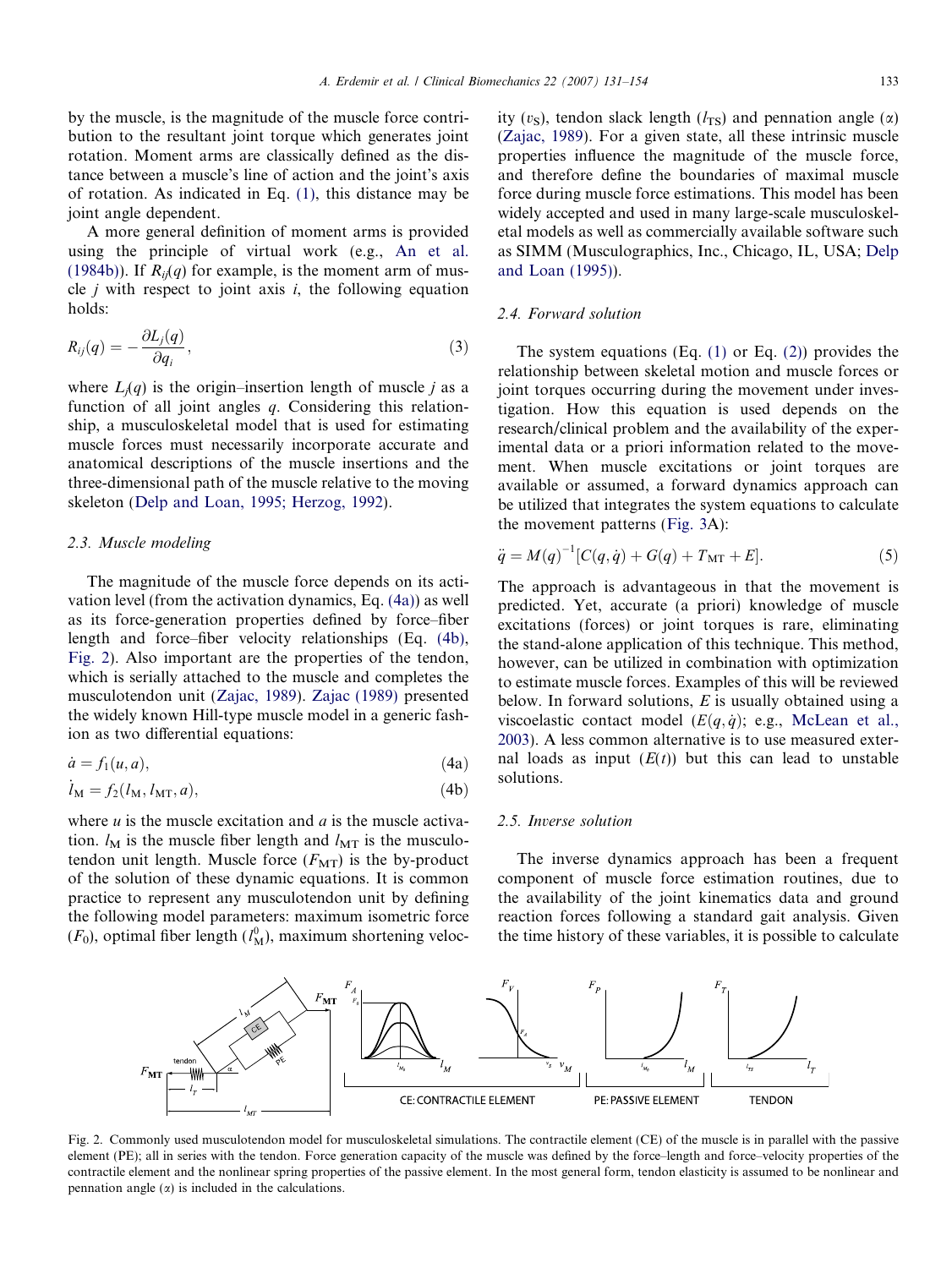<span id="page-2-0"></span>by the muscle, is the magnitude of the muscle force contribution to the resultant joint torque which generates joint rotation. Moment arms are classically defined as the distance between a muscle's line of action and the joint's axis of rotation. As indicated in Eq. [\(1\)](#page-1-0), this distance may be joint angle dependent.

A more general definition of moment arms is provided using the principle of virtual work (e.g., [An et al.](#page-19-0) [\(1984b\)\)](#page-19-0). If  $R_{ii}(q)$  for example, is the moment arm of muscle *i* with respect to joint axis *i*, the following equation holds:

$$
R_{ij}(q) = -\frac{\partial L_j(q)}{\partial q_i},\tag{3}
$$

where  $L_i(q)$  is the origin–insertion length of muscle j as a function of all joint angles q. Considering this relationship, a musculoskeletal model that is used for estimating muscle forces must necessarily incorporate accurate and anatomical descriptions of the muscle insertions and the three-dimensional path of the muscle relative to the moving skeleton [\(Delp and Loan, 1995; Herzog, 1992\)](#page-20-0).

#### 2.3. Muscle modeling

The magnitude of the muscle force depends on its activation level (from the activation dynamics, Eq. (4a)) as well as its force-generation properties defined by force–fiber length and force–fiber velocity relationships (Eq. (4b), Fig. 2). Also important are the properties of the tendon, which is serially attached to the muscle and completes the musculotendon unit ([Zajac, 1989\)](#page-23-0). [Zajac \(1989\)](#page-23-0) presented the widely known Hill-type muscle model in a generic fashion as two differential equations:

$$
\dot{a} = f_1(u, a),\tag{4a}
$$

$$
\dot{l}_{\mathbf{M}} = f_2(l_{\mathbf{M}}, l_{\mathbf{M} \mathbf{T}}, a),\tag{4b}
$$

where  $u$  is the muscle excitation and  $a$  is the muscle activation.  $l_M$  is the muscle fiber length and  $l_{MT}$  is the musculotendon unit length. Muscle force  $(F_{\text{MT}})$  is the by-product of the solution of these dynamic equations. It is common practice to represent any musculotendon unit by defining the following model parameters: maximum isometric force  $(F_0)$ , optimal fiber length  $(l_M^0)$ , maximum shortening velocity ( $v<sub>S</sub>$ ), tendon slack length ( $l<sub>TS</sub>$ ) and pennation angle ( $\alpha$ ) ([Zajac, 1989\)](#page-23-0). For a given state, all these intrinsic muscle properties influence the magnitude of the muscle force, and therefore define the boundaries of maximal muscle force during muscle force estimations. This model has been widely accepted and used in many large-scale musculoskeletal models as well as commercially available software such as SIMM (Musculographics, Inc., Chicago, IL, USA; [Delp](#page-20-0) [and Loan \(1995\)](#page-20-0)).

## 2.4. Forward solution

The system equations  $(Eq. (1)$  $(Eq. (1)$  or Eq.  $(2)$ ) provides the relationship between skeletal motion and muscle forces or joint torques occurring during the movement under investigation. How this equation is used depends on the research/clinical problem and the availability of the experimental data or a priori information related to the movement. When muscle excitations or joint torques are available or assumed, a forward dynamics approach can be utilized that integrates the system equations to calculate the movement patterns [\(Fig. 3A](#page-3-0)):

$$
\ddot{q} = M(q)^{-1} [C(q, \dot{q}) + G(q) + T_{\text{MT}} + E]. \tag{5}
$$

The approach is advantageous in that the movement is predicted. Yet, accurate (a priori) knowledge of muscle excitations (forces) or joint torques is rare, eliminating the stand-alone application of this technique. This method, however, can be utilized in combination with optimization to estimate muscle forces. Examples of this will be reviewed below. In forward solutions, E is usually obtained using a viscoelastic contact model  $(E(q, \dot{q}); e.g., McLean et al.,)$  $(E(q, \dot{q}); e.g., McLean et al.,)$  $(E(q, \dot{q}); e.g., McLean et al.,)$ [2003](#page-21-0)). A less common alternative is to use measured external loads as input  $(E(t))$  but this can lead to unstable solutions.

## 2.5. Inverse solution

The inverse dynamics approach has been a frequent component of muscle force estimation routines, due to the availability of the joint kinematics data and ground reaction forces following a standard gait analysis. Given the time history of these variables, it is possible to calculate



Fig. 2. Commonly used musculotendon model for musculoskeletal simulations. The contractile element (CE) of the muscle is in parallel with the passive element (PE); all in series with the tendon. Force generation capacity of the muscle was defined by the force–length and force–velocity properties of the contractile element and the nonlinear spring properties of the passive element. In the most general form, tendon elasticity is assumed to be nonlinear and pennation angle  $(\alpha)$  is included in the calculations.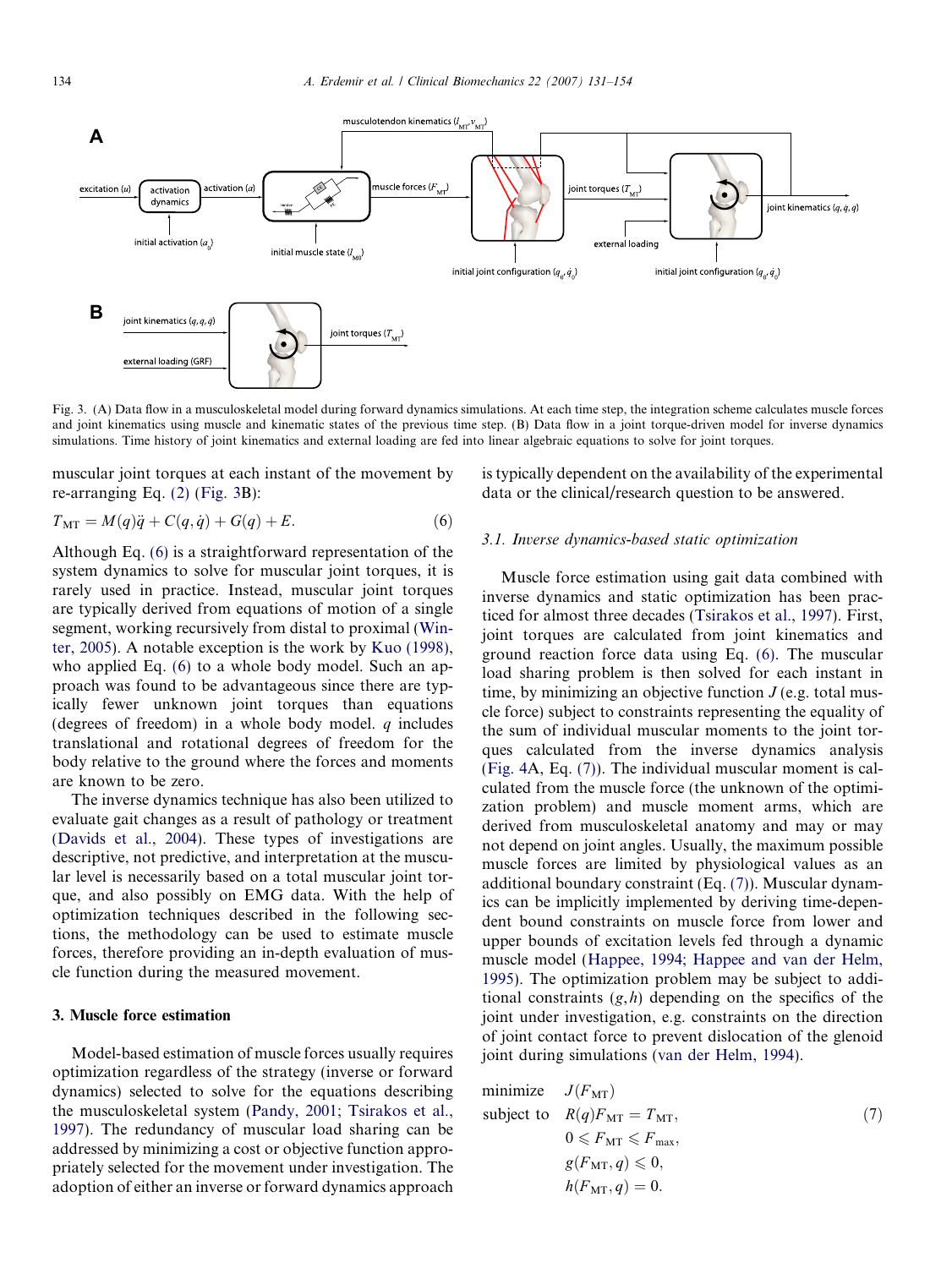<span id="page-3-0"></span>

Fig. 3. (A) Data flow in a musculoskeletal model during forward dynamics simulations. At each time step, the integration scheme calculates muscle forces and joint kinematics using muscle and kinematic states of the previous time step. (B) Data flow in a joint torque-driven model for inverse dynamics simulations. Time history of joint kinematics and external loading are fed into linear algebraic equations to solve for joint torques.

muscular joint torques at each instant of the movement by re-arranging Eq. [\(2\)](#page-1-0) (Fig. 3B):

$$
T_{\text{MT}} = M(q)\ddot{q} + C(q, \dot{q}) + G(q) + E. \tag{6}
$$

Although Eq. (6) is a straightforward representation of the system dynamics to solve for muscular joint torques, it is rarely used in practice. Instead, muscular joint torques are typically derived from equations of motion of a single segment, working recursively from distal to proximal [\(Win](#page-22-0)[ter, 2005\)](#page-22-0). A notable exception is the work by [Kuo \(1998\)](#page-21-0), who applied Eq. (6) to a whole body model. Such an approach was found to be advantageous since there are typically fewer unknown joint torques than equations (degrees of freedom) in a whole body model.  $q$  includes translational and rotational degrees of freedom for the body relative to the ground where the forces and moments are known to be zero.

The inverse dynamics technique has also been utilized to evaluate gait changes as a result of pathology or treatment [\(Davids et al., 2004](#page-20-0)). These types of investigations are descriptive, not predictive, and interpretation at the muscular level is necessarily based on a total muscular joint torque, and also possibly on EMG data. With the help of optimization techniques described in the following sections, the methodology can be used to estimate muscle forces, therefore providing an in-depth evaluation of muscle function during the measured movement.

# 3. Muscle force estimation

Model-based estimation of muscle forces usually requires optimization regardless of the strategy (inverse or forward dynamics) selected to solve for the equations describing the musculoskeletal system [\(Pandy, 2001; Tsirakos et al.,](#page-21-0) [1997\)](#page-21-0). The redundancy of muscular load sharing can be addressed by minimizing a cost or objective function appropriately selected for the movement under investigation. The adoption of either an inverse or forward dynamics approach

is typically dependent on the availability of the experimental data or the clinical/research question to be answered.

#### 3.1. Inverse dynamics-based static optimization

Muscle force estimation using gait data combined with inverse dynamics and static optimization has been practiced for almost three decades ([Tsirakos et al., 1997\)](#page-22-0). First, joint torques are calculated from joint kinematics and ground reaction force data using Eq. (6). The muscular load sharing problem is then solved for each instant in time, by minimizing an objective function  $J$  (e.g. total muscle force) subject to constraints representing the equality of the sum of individual muscular moments to the joint torques calculated from the inverse dynamics analysis [\(Fig. 4](#page-4-0)A, Eq. (7)). The individual muscular moment is calculated from the muscle force (the unknown of the optimization problem) and muscle moment arms, which are derived from musculoskeletal anatomy and may or may not depend on joint angles. Usually, the maximum possible muscle forces are limited by physiological values as an additional boundary constraint (Eq. (7)). Muscular dynamics can be implicitly implemented by deriving time-dependent bound constraints on muscle force from lower and upper bounds of excitation levels fed through a dynamic muscle model ([Happee, 1994; Happee and van der Helm,](#page-20-0) [1995\)](#page-20-0). The optimization problem may be subject to additional constraints  $(g,h)$  depending on the specifics of the joint under investigation, e.g. constraints on the direction of joint contact force to prevent dislocation of the glenoid joint during simulations ([van der Helm, 1994](#page-22-0)).

minimize 
$$
J(F_{\text{MT}})
$$
  
\nsubject to  $R(q)F_{\text{MT}} = T_{\text{MT}}$ ,  
\n $0 \le F_{\text{MT}} \le F_{\text{max}}$ ,  
\n $g(F_{\text{MT}}, q) \le 0$ ,  
\n $h(F_{\text{MT}}, q) = 0$ .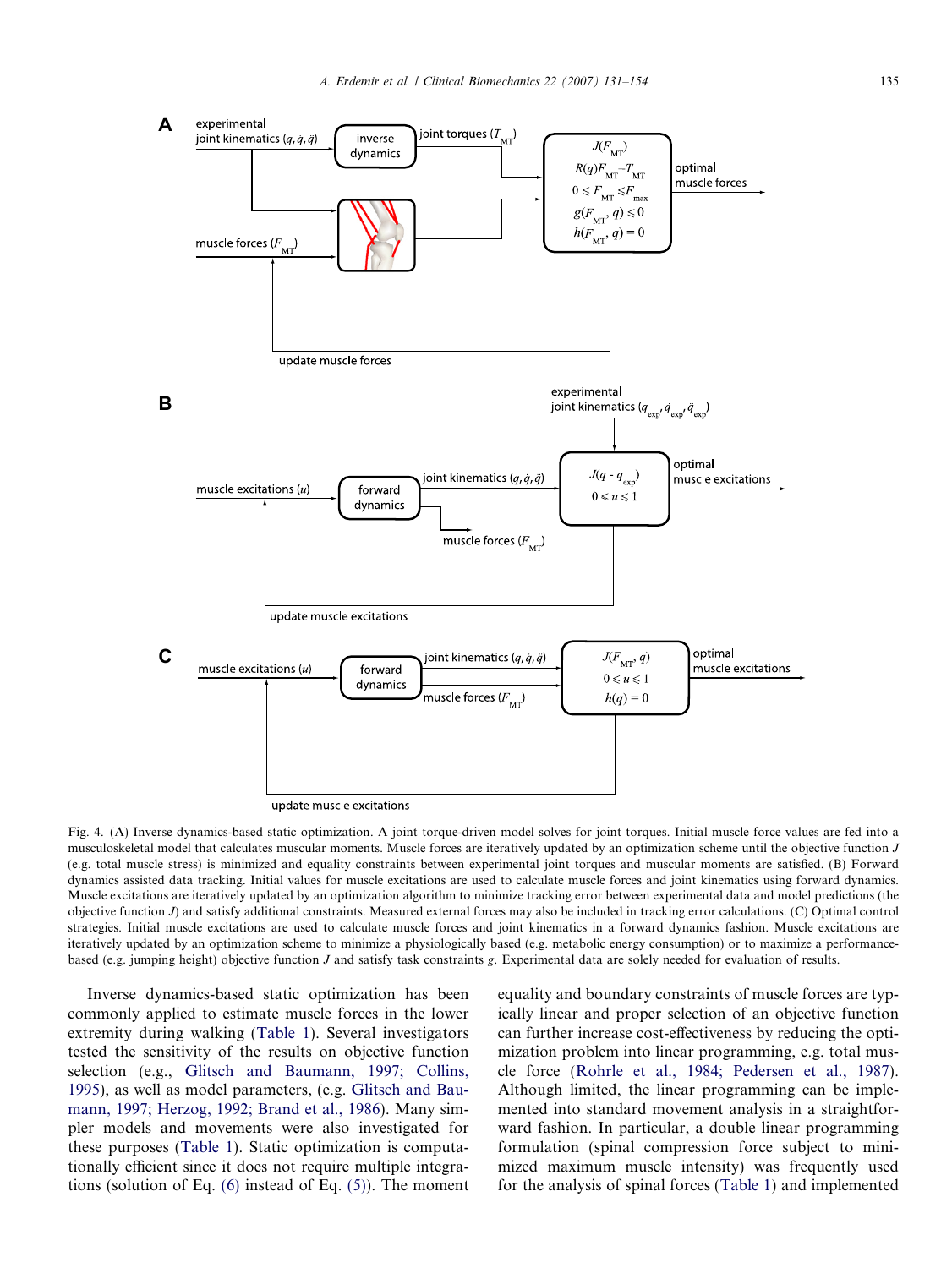<span id="page-4-0"></span>

update muscle excitations

Fig. 4. (A) Inverse dynamics-based static optimization. A joint torque-driven model solves for joint torques. Initial muscle force values are fed into a musculoskeletal model that calculates muscular moments. Muscle forces are iteratively updated by an optimization scheme until the objective function J (e.g. total muscle stress) is minimized and equality constraints between experimental joint torques and muscular moments are satisfied. (B) Forward dynamics assisted data tracking. Initial values for muscle excitations are used to calculate muscle forces and joint kinematics using forward dynamics. Muscle excitations are iteratively updated by an optimization algorithm to minimize tracking error between experimental data and model predictions (the objective function J) and satisfy additional constraints. Measured external forces may also be included in tracking error calculations. (C) Optimal control strategies. Initial muscle excitations are used to calculate muscle forces and joint kinematics in a forward dynamics fashion. Muscle excitations are iteratively updated by an optimization scheme to minimize a physiologically based (e.g. metabolic energy consumption) or to maximize a performancebased (e.g. jumping height) objective function J and satisfy task constraints g. Experimental data are solely needed for evaluation of results.

Inverse dynamics-based static optimization has been commonly applied to estimate muscle forces in the lower extremity during walking ([Table 1](#page-5-0)). Several investigators tested the sensitivity of the results on objective function selection (e.g., [Glitsch and Baumann, 1997; Collins,](#page-20-0) [1995](#page-20-0)), as well as model parameters, (e.g. [Glitsch and Bau](#page-20-0)[mann, 1997; Herzog, 1992; Brand et al., 1986\)](#page-20-0). Many simpler models and movements were also investigated for these purposes ([Table 1](#page-5-0)). Static optimization is computationally efficient since it does not require multiple integrations (solution of Eq. [\(6\)](#page-3-0) instead of Eq. [\(5\)](#page-2-0)). The moment equality and boundary constraints of muscle forces are typically linear and proper selection of an objective function can further increase cost-effectiveness by reducing the optimization problem into linear programming, e.g. total muscle force [\(Rohrle et al., 1984; Pedersen et al., 1987\)](#page-22-0). Although limited, the linear programming can be implemented into standard movement analysis in a straightforward fashion. In particular, a double linear programming formulation (spinal compression force subject to minimized maximum muscle intensity) was frequently used for the analysis of spinal forces ([Table 1\)](#page-5-0) and implemented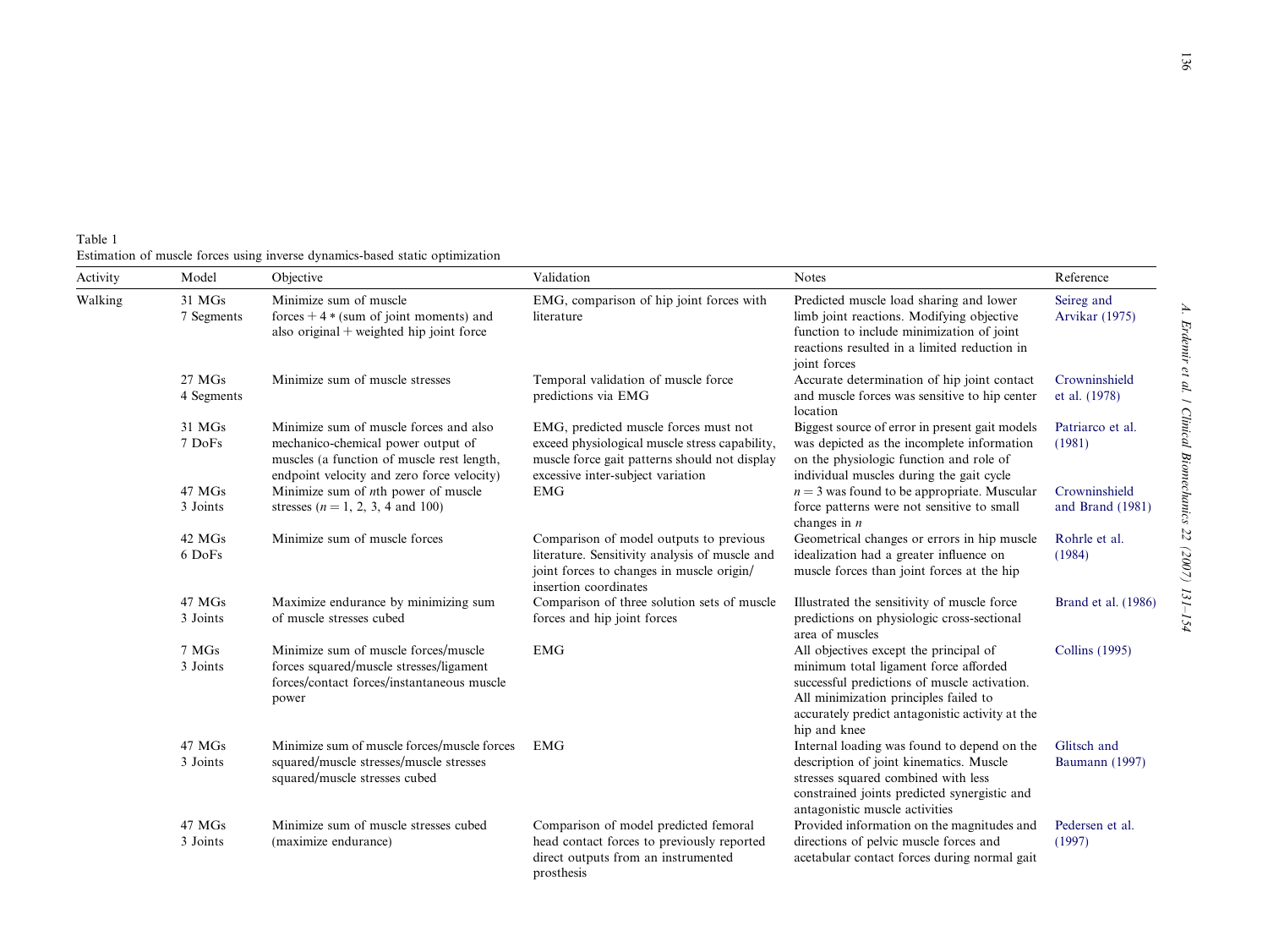<span id="page-5-0"></span>Table 1 Estimation of muscle forces using inverse dynamics-based static optimization

| Activity | Model                           | Objective                                                                                                                                                                | Validation                                                                                                                                                                    | <b>Notes</b>                                                                                                                                                                                                                                | Reference                            |
|----------|---------------------------------|--------------------------------------------------------------------------------------------------------------------------------------------------------------------------|-------------------------------------------------------------------------------------------------------------------------------------------------------------------------------|---------------------------------------------------------------------------------------------------------------------------------------------------------------------------------------------------------------------------------------------|--------------------------------------|
| Walking  | 31 <sub>MGs</sub><br>7 Segments | Minimize sum of muscle<br>forces $+4$ * (sum of joint moments) and<br>also original $+$ weighted hip joint force                                                         | EMG, comparison of hip joint forces with<br>literature                                                                                                                        | Predicted muscle load sharing and lower<br>limb joint reactions. Modifying objective<br>function to include minimization of joint<br>reactions resulted in a limited reduction in<br>joint forces                                           | Seireg and<br>Arvikar (1975)         |
|          | 27 <sub>MGs</sub><br>4 Segments | Minimize sum of muscle stresses                                                                                                                                          | Temporal validation of muscle force<br>predictions via EMG                                                                                                                    | Accurate determination of hip joint contact<br>and muscle forces was sensitive to hip center<br>location                                                                                                                                    | Crowninshield<br>et al. (1978)       |
|          | 31 MGs<br>7 DoFs                | Minimize sum of muscle forces and also<br>mechanico-chemical power output of<br>muscles (a function of muscle rest length,<br>endpoint velocity and zero force velocity) | EMG, predicted muscle forces must not<br>exceed physiological muscle stress capability,<br>muscle force gait patterns should not display<br>excessive inter-subject variation | Biggest source of error in present gait models<br>was depicted as the incomplete information<br>on the physiologic function and role of<br>individual muscles during the gait cycle                                                         | Patriarco et al.<br>(1981)           |
|          | 47 MGs<br>3 Joints              | Minimize sum of <i>n</i> th power of muscle<br>stresses ( $n = 1, 2, 3, 4$ and 100)                                                                                      | <b>EMG</b>                                                                                                                                                                    | $n = 3$ was found to be appropriate. Muscular<br>force patterns were not sensitive to small<br>changes in $n$                                                                                                                               | Crowninshield<br>and Brand (1981)    |
|          | 42 MGs<br>6 DoFs                | Minimize sum of muscle forces                                                                                                                                            | Comparison of model outputs to previous<br>literature. Sensitivity analysis of muscle and<br>joint forces to changes in muscle origin/<br>insertion coordinates               | Geometrical changes or errors in hip muscle<br>idealization had a greater influence on<br>muscle forces than joint forces at the hip                                                                                                        | Rohrle et al.<br>(1984)              |
|          | 47 MGs<br>3 Joints              | Maximize endurance by minimizing sum<br>of muscle stresses cubed                                                                                                         | Comparison of three solution sets of muscle<br>forces and hip joint forces                                                                                                    | Illustrated the sensitivity of muscle force<br>predictions on physiologic cross-sectional<br>area of muscles                                                                                                                                | <b>Brand et al.</b> (1986)           |
|          | 7 MGs<br>3 Joints               | Minimize sum of muscle forces/muscle<br>forces squared/muscle stresses/ligament<br>forces/contact forces/instantaneous muscle<br>power                                   | <b>EMG</b>                                                                                                                                                                    | All objectives except the principal of<br>minimum total ligament force afforded<br>successful predictions of muscle activation.<br>All minimization principles failed to<br>accurately predict antagonistic activity at the<br>hip and knee | Collins (1995)                       |
|          | 47 MGs<br>3 Joints              | Minimize sum of muscle forces/muscle forces<br>squared/muscle stresses/muscle stresses<br>squared/muscle stresses cubed                                                  | <b>EMG</b>                                                                                                                                                                    | Internal loading was found to depend on the<br>description of joint kinematics. Muscle<br>stresses squared combined with less<br>constrained joints predicted synergistic and<br>antagonistic muscle activities                             | Glitsch and<br><b>Baumann</b> (1997) |
|          | 47 MGs<br>3 Joints              | Minimize sum of muscle stresses cubed<br>(maximize endurance)                                                                                                            | Comparison of model predicted femoral<br>head contact forces to previously reported<br>direct outputs from an instrumented<br>prosthesis                                      | Provided information on the magnitudes and<br>directions of pelvic muscle forces and<br>acetabular contact forces during normal gait                                                                                                        | Pedersen et al.<br>(1997)            |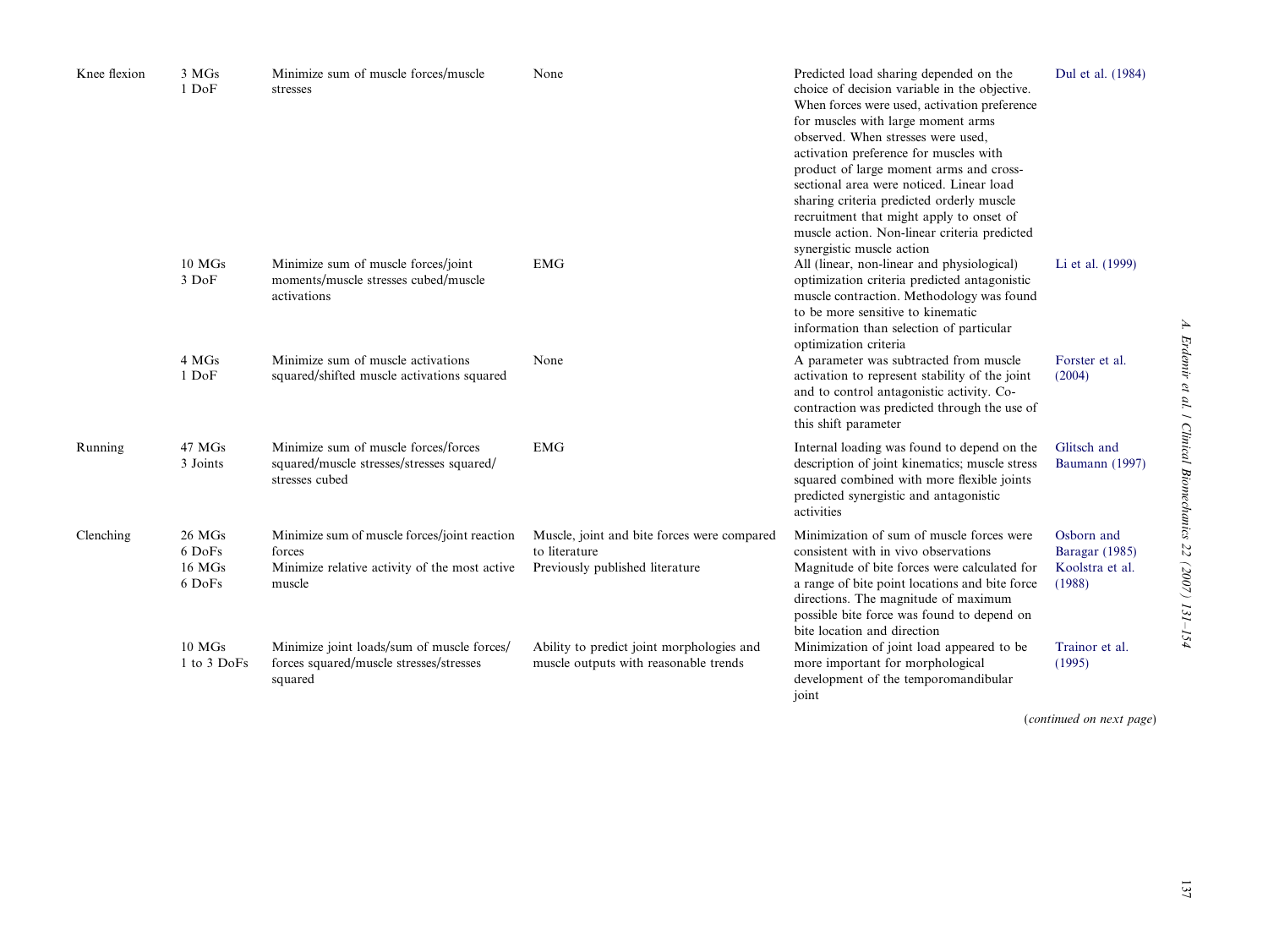| Knee flexion | 3 MGs<br>$1$ DoF                     | Minimize sum of muscle forces/muscle<br>stresses                                                                  | None                                                                                            | Predicted load sharing depended on the<br>choice of decision variable in the objective.<br>When forces were used, activation preference<br>for muscles with large moment arms<br>observed. When stresses were used,<br>activation preference for muscles with<br>product of large moment arms and cross-<br>sectional area were noticed. Linear load<br>sharing criteria predicted orderly muscle<br>recruitment that might apply to onset of<br>muscle action. Non-linear criteria predicted<br>synergistic muscle action | Dul et al. (1984)                                         |
|--------------|--------------------------------------|-------------------------------------------------------------------------------------------------------------------|-------------------------------------------------------------------------------------------------|----------------------------------------------------------------------------------------------------------------------------------------------------------------------------------------------------------------------------------------------------------------------------------------------------------------------------------------------------------------------------------------------------------------------------------------------------------------------------------------------------------------------------|-----------------------------------------------------------|
|              | $10$ MGs<br>3 DoF                    | Minimize sum of muscle forces/joint<br>moments/muscle stresses cubed/muscle<br>activations                        | <b>EMG</b>                                                                                      | All (linear, non-linear and physiological)<br>optimization criteria predicted antagonistic<br>muscle contraction. Methodology was found<br>to be more sensitive to kinematic<br>information than selection of particular<br>optimization criteria                                                                                                                                                                                                                                                                          | Li et al. (1999)                                          |
|              | 4 MGs<br>$1$ DoF                     | Minimize sum of muscle activations<br>squared/shifted muscle activations squared                                  | None                                                                                            | A parameter was subtracted from muscle<br>activation to represent stability of the joint<br>and to control antagonistic activity. Co-<br>contraction was predicted through the use of<br>this shift parameter                                                                                                                                                                                                                                                                                                              | Forster et al.<br>(2004)                                  |
| Running      | 47 MGs<br>3 Joints                   | Minimize sum of muscle forces/forces<br>squared/muscle stresses/stresses squared/<br>stresses cubed               | <b>EMG</b>                                                                                      | Internal loading was found to depend on the<br>description of joint kinematics; muscle stress<br>squared combined with more flexible joints<br>predicted synergistic and antagonistic<br>activities                                                                                                                                                                                                                                                                                                                        | Glitsch and<br><b>Baumann</b> (1997)                      |
| Clenching    | 26 MGs<br>6 DoFs<br>16 MGs<br>6 DoFs | Minimize sum of muscle forces/joint reaction<br>forces<br>Minimize relative activity of the most active<br>muscle | Muscle, joint and bite forces were compared<br>to literature<br>Previously published literature | Minimization of sum of muscle forces were<br>consistent with in vivo observations<br>Magnitude of bite forces were calculated for<br>a range of bite point locations and bite force<br>directions. The magnitude of maximum<br>possible bite force was found to depend on<br>bite location and direction                                                                                                                                                                                                                   | Osborn and<br>Baragar (1985)<br>Koolstra et al.<br>(1988) |
|              | $10$ MGs<br>1 to 3 DoFs              | Minimize joint loads/sum of muscle forces/<br>forces squared/muscle stresses/stresses<br>squared                  | Ability to predict joint morphologies and<br>muscle outputs with reasonable trends              | Minimization of joint load appeared to be<br>more important for morphological<br>development of the temporomandibular<br>joint                                                                                                                                                                                                                                                                                                                                                                                             | Trainor et al.<br>(1995)                                  |

(continued on next page)

A. Erdemir et al. / Clinical Biomechanics 22 (2007) 131–154

A. Erdemir et al.  $1$  Clinical Biomechanics 22 (2007)  $131-154$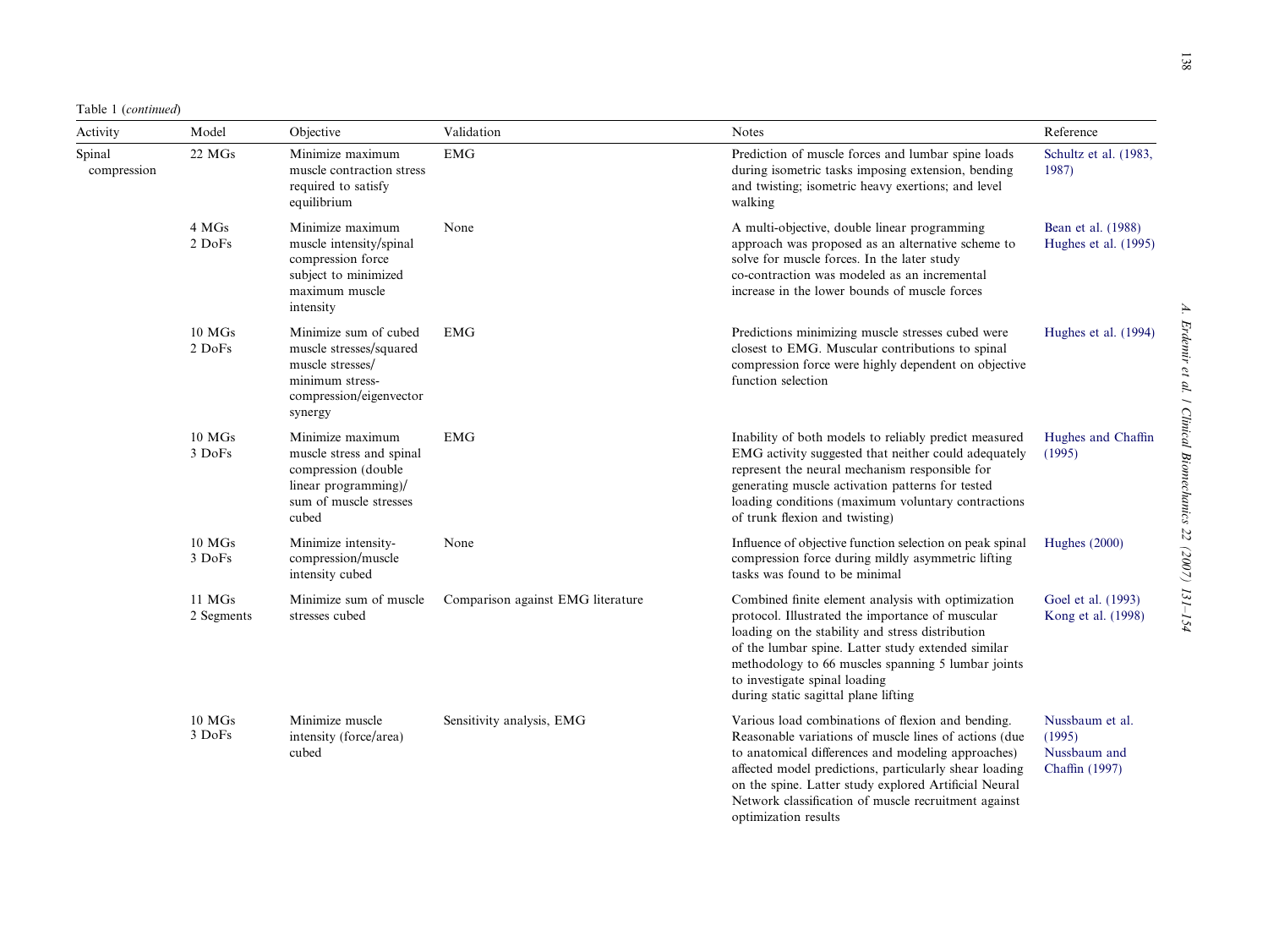| Table 1 (continued) |  |  |
|---------------------|--|--|
|---------------------|--|--|

| Activity              | Model                  | Objective                                                                                                                      | Validation                        | <b>Notes</b>                                                                                                                                                                                                                                                                                                                                                        | Reference                                                   |
|-----------------------|------------------------|--------------------------------------------------------------------------------------------------------------------------------|-----------------------------------|---------------------------------------------------------------------------------------------------------------------------------------------------------------------------------------------------------------------------------------------------------------------------------------------------------------------------------------------------------------------|-------------------------------------------------------------|
| Spinal<br>compression | $222$ MGs              | Minimize maximum<br>muscle contraction stress<br>required to satisfy<br>equilibrium                                            | <b>EMG</b>                        | Prediction of muscle forces and lumbar spine loads<br>during isometric tasks imposing extension, bending<br>and twisting; isometric heavy exertions; and level<br>walking                                                                                                                                                                                           | Schultz et al. (1983,<br>1987)                              |
|                       | 4 MGs<br>2 DoFs        | Minimize maximum<br>muscle intensity/spinal<br>compression force<br>subject to minimized<br>maximum muscle<br>intensity        | None                              | A multi-objective, double linear programming<br>approach was proposed as an alternative scheme to<br>solve for muscle forces. In the later study<br>co-contraction was modeled as an incremental<br>increase in the lower bounds of muscle forces                                                                                                                   | Bean et al. (1988)<br>Hughes et al. (1995)                  |
|                       | $10$ MGs<br>2 DoFs     | Minimize sum of cubed<br>muscle stresses/squared<br>muscle stresses/<br>minimum stress-<br>compression/eigenvector<br>synergy  | <b>EMG</b>                        | Predictions minimizing muscle stresses cubed were<br>closest to EMG. Muscular contributions to spinal<br>compression force were highly dependent on objective<br>function selection                                                                                                                                                                                 | Hughes et al. (1994)                                        |
|                       | $10$ MGs<br>3 DoFs     | Minimize maximum<br>muscle stress and spinal<br>compression (double<br>linear programming)/<br>sum of muscle stresses<br>cubed | <b>EMG</b>                        | Inability of both models to reliably predict measured<br>EMG activity suggested that neither could adequately<br>represent the neural mechanism responsible for<br>generating muscle activation patterns for tested<br>loading conditions (maximum voluntary contractions<br>of trunk flexion and twisting)                                                         | Hughes and Chaffin<br>(1995)                                |
|                       | $10$ MGs<br>3 DoFs     | Minimize intensity-<br>compression/muscle<br>intensity cubed                                                                   | None                              | Influence of objective function selection on peak spinal<br>compression force during mildly asymmetric lifting<br>tasks was found to be minimal                                                                                                                                                                                                                     | <b>Hughes</b> (2000)                                        |
|                       | $11$ MGs<br>2 Segments | Minimize sum of muscle<br>stresses cubed                                                                                       | Comparison against EMG literature | Combined finite element analysis with optimization<br>protocol. Illustrated the importance of muscular<br>loading on the stability and stress distribution<br>of the lumbar spine. Latter study extended similar<br>methodology to 66 muscles spanning 5 lumbar joints<br>to investigate spinal loading<br>during static sagittal plane lifting                     | Goel et al. (1993)<br>Kong et al. (1998)                    |
|                       | $10$ MGs<br>3 DoFs     | Minimize muscle<br>intensity (force/area)<br>cubed                                                                             | Sensitivity analysis, EMG         | Various load combinations of flexion and bending.<br>Reasonable variations of muscle lines of actions (due<br>to anatomical differences and modeling approaches)<br>affected model predictions, particularly shear loading<br>on the spine. Latter study explored Artificial Neural<br>Network classification of muscle recruitment against<br>optimization results | Nussbaum et al.<br>(1995)<br>Nussbaum and<br>Chaffin (1997) |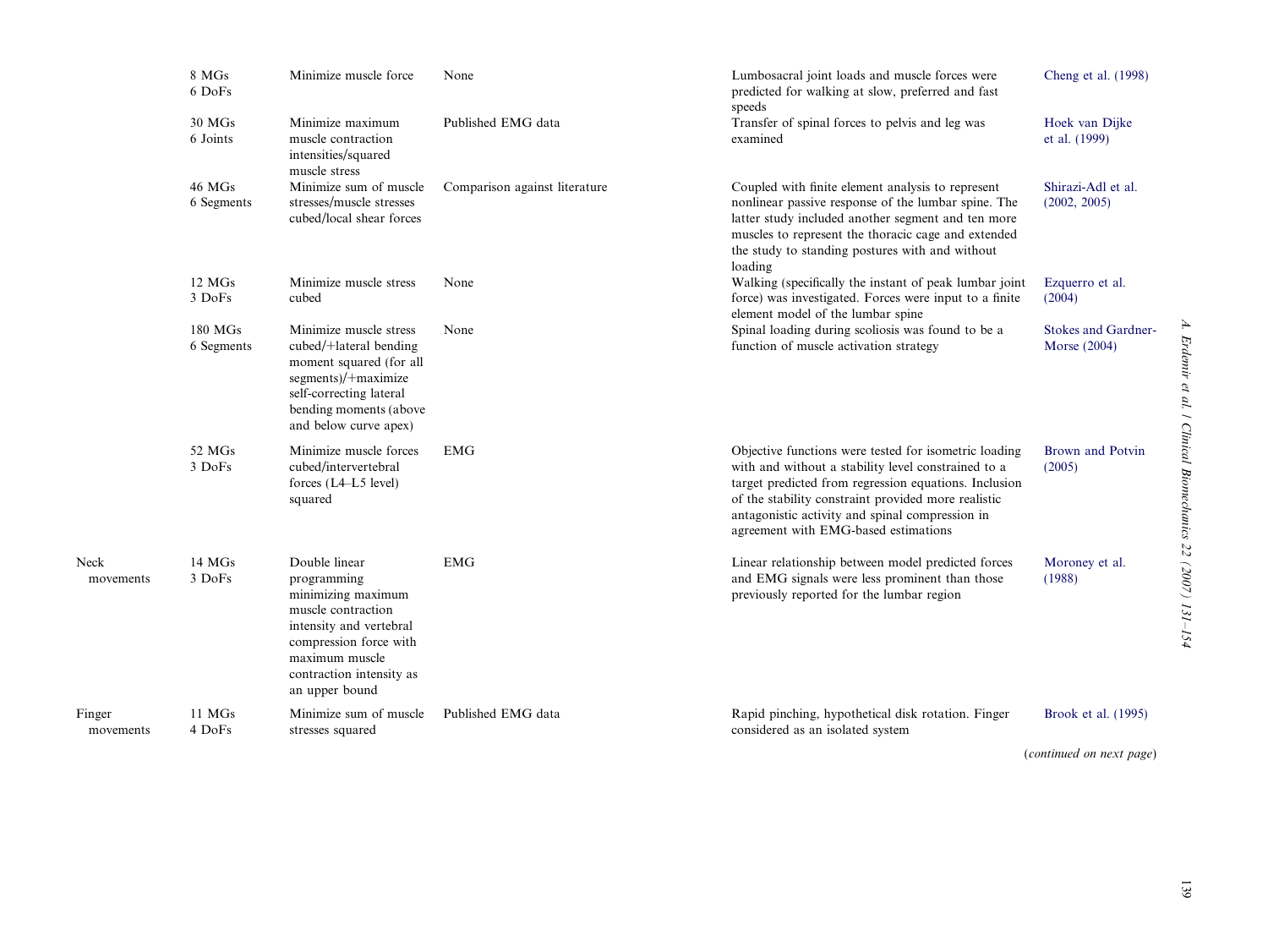| 8 MGs<br>6 DoFs       | Minimize muscle force                                                                                                                                                                         | None                          | Lumbosacral joint loads and muscle forces were<br>predicted for walking at slow, preferred and fast<br>speeds                                                                                                                                                                                                           | Cheng et al. (1998)                        |
|-----------------------|-----------------------------------------------------------------------------------------------------------------------------------------------------------------------------------------------|-------------------------------|-------------------------------------------------------------------------------------------------------------------------------------------------------------------------------------------------------------------------------------------------------------------------------------------------------------------------|--------------------------------------------|
| 30 MGs<br>6 Joints    | Minimize maximum<br>muscle contraction<br>intensities/squared<br>muscle stress                                                                                                                | Published EMG data            | Transfer of spinal forces to pelvis and leg was<br>examined                                                                                                                                                                                                                                                             | Hoek van Dijke<br>et al. (1999)            |
| 46 MGs<br>6 Segments  | Minimize sum of muscle<br>stresses/muscle stresses<br>cubed/local shear forces                                                                                                                | Comparison against literature | Coupled with finite element analysis to represent<br>nonlinear passive response of the lumbar spine. The<br>latter study included another segment and ten more<br>muscles to represent the thoracic cage and extended<br>the study to standing postures with and without<br>loading                                     | Shirazi-Adl et al.<br>(2002, 2005)         |
| 12 MGs<br>3 DoFs      | Minimize muscle stress<br>cubed                                                                                                                                                               | None                          | Walking (specifically the instant of peak lumbar joint<br>force) was investigated. Forces were input to a finite<br>element model of the lumbar spine                                                                                                                                                                   | Ezquerro et al.<br>(2004)                  |
| 180 MGs<br>6 Segments | Minimize muscle stress<br>cubed/+lateral bending<br>moment squared (for all<br>segments)/+maximize<br>self-correcting lateral<br>bending moments (above<br>and below curve apex)              | None                          | Spinal loading during scoliosis was found to be a<br>function of muscle activation strategy                                                                                                                                                                                                                             | <b>Stokes and Gardner-</b><br>Morse (2004) |
| 52 MGs<br>3 DoFs      | Minimize muscle forces<br>cubed/intervertebral<br>forces (L4-L5 level)<br>squared                                                                                                             | EMG                           | Objective functions were tested for isometric loading<br>with and without a stability level constrained to a<br>target predicted from regression equations. Inclusion<br>of the stability constraint provided more realistic<br>antagonistic activity and spinal compression in<br>agreement with EMG-based estimations | Brown and Potvin<br>(2005)                 |
| 14 MGs<br>3 DoFs      | Double linear<br>programming<br>minimizing maximum<br>muscle contraction<br>intensity and vertebral<br>compression force with<br>maximum muscle<br>contraction intensity as<br>an upper bound | <b>EMG</b>                    | Linear relationship between model predicted forces<br>and EMG signals were less prominent than those<br>previously reported for the lumbar region                                                                                                                                                                       | Moroney et al.<br>(1988)                   |
| 11 MGs<br>4 DoFs      | Minimize sum of muscle<br>stresses squared                                                                                                                                                    | Published EMG data            | Rapid pinching, hypothetical disk rotation. Finger<br>considered as an isolated system                                                                                                                                                                                                                                  | Brook et al. (1995)                        |
|                       |                                                                                                                                                                                               |                               |                                                                                                                                                                                                                                                                                                                         | (continued on next page)                   |

Neck

Finger movements

movements

A. Erdemir et al.  $1$  Clinical Biomechanics 22 (2007) 131-154 A. Erdemir et al. / Clinical Biomechanics 22 (2007) 131–154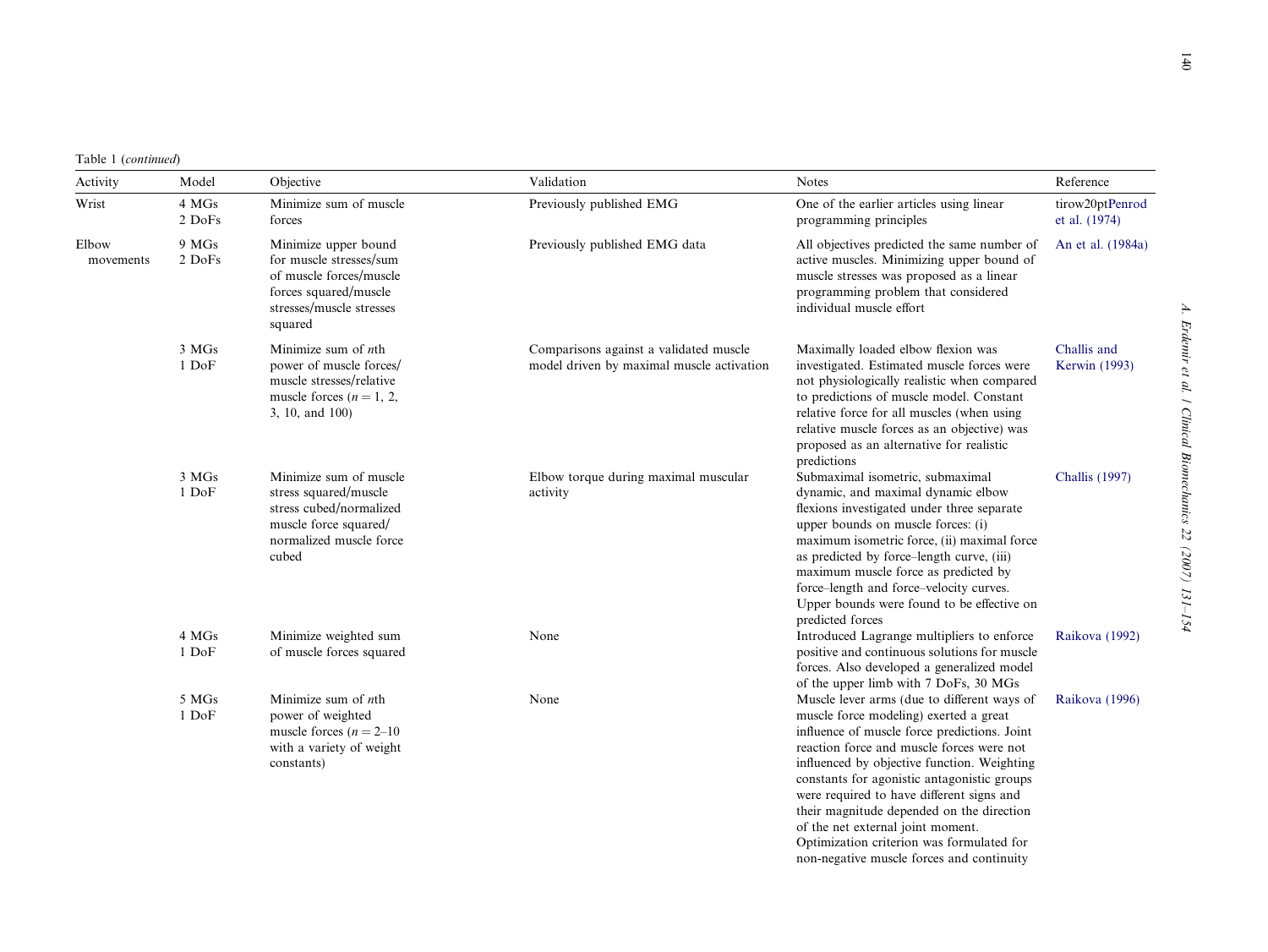Table 1 (continued)

| Activity           | Model            | Objective                                                                                                                                  | Validation                                                                          | <b>Notes</b>                                                                                                                                                                                                                                                                                                                                                                                                                                                                                              | Reference                        |
|--------------------|------------------|--------------------------------------------------------------------------------------------------------------------------------------------|-------------------------------------------------------------------------------------|-----------------------------------------------------------------------------------------------------------------------------------------------------------------------------------------------------------------------------------------------------------------------------------------------------------------------------------------------------------------------------------------------------------------------------------------------------------------------------------------------------------|----------------------------------|
| Wrist              | 4 MGs<br>2 DoFs  | Minimize sum of muscle<br>forces                                                                                                           | Previously published EMG                                                            | One of the earlier articles using linear<br>programming principles                                                                                                                                                                                                                                                                                                                                                                                                                                        | tirow20ptPenrod<br>et al. (1974) |
| Elbow<br>movements | 9 MGs<br>2 DoFs  | Minimize upper bound<br>for muscle stresses/sum<br>of muscle forces/muscle<br>forces squared/muscle<br>stresses/muscle stresses<br>squared | Previously published EMG data                                                       | All objectives predicted the same number of<br>active muscles. Minimizing upper bound of<br>muscle stresses was proposed as a linear<br>programming problem that considered<br>individual muscle effort                                                                                                                                                                                                                                                                                                   | An et al. (1984a)                |
|                    | 3 MGs<br>$1$ DoF | Minimize sum of $n$ th<br>power of muscle forces/<br>muscle stresses/relative<br>muscle forces $(n = 1, 2, )$<br>3, 10, and 100)           | Comparisons against a validated muscle<br>model driven by maximal muscle activation | Maximally loaded elbow flexion was<br>investigated. Estimated muscle forces were<br>not physiologically realistic when compared<br>to predictions of muscle model. Constant<br>relative force for all muscles (when using<br>relative muscle forces as an objective) was<br>proposed as an alternative for realistic<br>predictions                                                                                                                                                                       | Challis and<br>Kerwin (1993)     |
|                    | 3 MGs<br>1 DoF   | Minimize sum of muscle<br>stress squared/muscle<br>stress cubed/normalized<br>muscle force squared/<br>normalized muscle force<br>cubed    | Elbow torque during maximal muscular<br>activity                                    | Submaximal isometric, submaximal<br>dynamic, and maximal dynamic elbow<br>flexions investigated under three separate<br>upper bounds on muscle forces: (i)<br>maximum isometric force, (ii) maximal force<br>as predicted by force-length curve, (iii)<br>maximum muscle force as predicted by<br>force-length and force-velocity curves.<br>Upper bounds were found to be effective on<br>predicted forces                                                                                               | <b>Challis</b> (1997)            |
|                    | 4 MGs<br>1 DoF   | Minimize weighted sum<br>of muscle forces squared                                                                                          | None                                                                                | Introduced Lagrange multipliers to enforce<br>positive and continuous solutions for muscle<br>forces. Also developed a generalized model<br>of the upper limb with 7 DoFs, 30 MGs                                                                                                                                                                                                                                                                                                                         | Raikova (1992)                   |
|                    | 5 MGs<br>$1$ DoF | Minimize sum of $n$ th<br>power of weighted<br>muscle forces $(n = 2-10)$<br>with a variety of weight<br>constants)                        | None                                                                                | Muscle lever arms (due to different ways of<br>muscle force modeling) exerted a great<br>influence of muscle force predictions. Joint<br>reaction force and muscle forces were not<br>influenced by objective function. Weighting<br>constants for agonistic antagonistic groups<br>were required to have different signs and<br>their magnitude depended on the direction<br>of the net external joint moment.<br>Optimization criterion was formulated for<br>non-negative muscle forces and continuity | Raikova (1996)                   |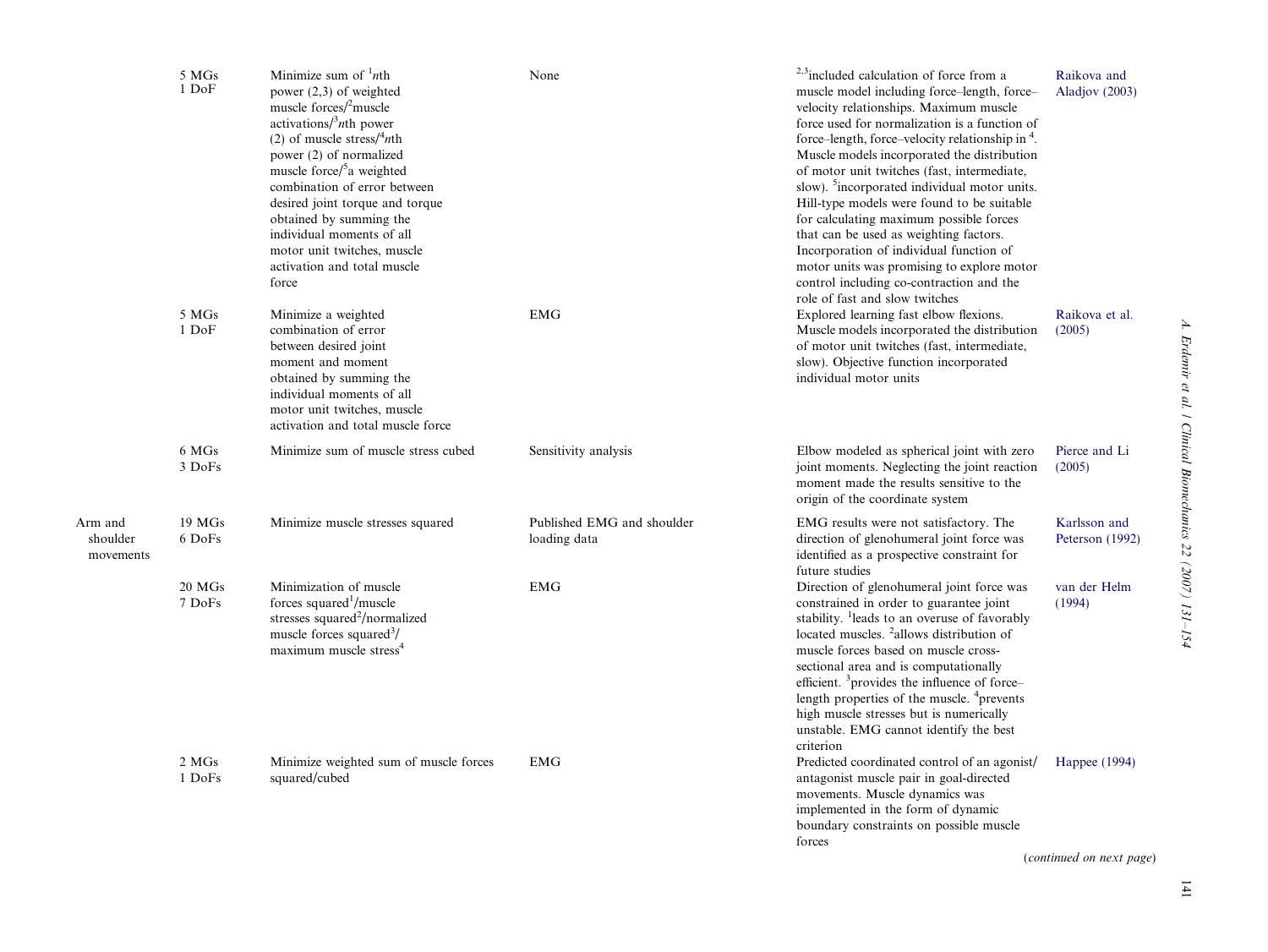|                                  | 5 MGs<br>1 DoF              | Minimize sum of ${}^{1}n$ th<br>power (2,3) of weighted<br>muscle forces/ $\ell$ muscle<br>activations/ $3n$ th power<br>(2) of muscle stress/ $4n$ th<br>power (2) of normalized<br>muscle force/ <sup>5</sup> a weighted<br>combination of error between<br>desired joint torque and torque<br>obtained by summing the<br>individual moments of all<br>motor unit twitches, muscle<br>activation and total muscle<br>force | None                                       | <sup>2,3</sup> included calculation of force from a<br>muscle model including force-length, force-<br>velocity relationships. Maximum muscle<br>force used for normalization is a function of<br>force-length, force-velocity relationship in <sup>4</sup> .<br>Muscle models incorporated the distribution<br>of motor unit twitches (fast, intermediate,<br>slow). <sup>5</sup> incorporated individual motor units.<br>Hill-type models were found to be suitable<br>for calculating maximum possible forces<br>that can be used as weighting factors.<br>Incorporation of individual function of<br>motor units was promising to explore motor<br>control including co-contraction and the<br>role of fast and slow twitches | Raikova and<br>Aladjov (2003)   |
|----------------------------------|-----------------------------|------------------------------------------------------------------------------------------------------------------------------------------------------------------------------------------------------------------------------------------------------------------------------------------------------------------------------------------------------------------------------------------------------------------------------|--------------------------------------------|----------------------------------------------------------------------------------------------------------------------------------------------------------------------------------------------------------------------------------------------------------------------------------------------------------------------------------------------------------------------------------------------------------------------------------------------------------------------------------------------------------------------------------------------------------------------------------------------------------------------------------------------------------------------------------------------------------------------------------|---------------------------------|
|                                  | 5 MGs<br>$1$ DoF            | Minimize a weighted<br>combination of error<br>between desired joint<br>moment and moment<br>obtained by summing the<br>individual moments of all<br>motor unit twitches, muscle<br>activation and total muscle force                                                                                                                                                                                                        | <b>EMG</b>                                 | Explored learning fast elbow flexions.<br>Muscle models incorporated the distribution<br>of motor unit twitches (fast, intermediate,<br>slow). Objective function incorporated<br>individual motor units                                                                                                                                                                                                                                                                                                                                                                                                                                                                                                                         | Raikova et al.<br>(2005)        |
|                                  | 6 MGs<br>3 DoFs             | Minimize sum of muscle stress cubed                                                                                                                                                                                                                                                                                                                                                                                          | Sensitivity analysis                       | Elbow modeled as spherical joint with zero<br>joint moments. Neglecting the joint reaction<br>moment made the results sensitive to the<br>origin of the coordinate system                                                                                                                                                                                                                                                                                                                                                                                                                                                                                                                                                        | Pierce and Li<br>(2005)         |
| ∖rm and<br>shoulder<br>movements | 19 <sub>MGs</sub><br>6 DoFs | Minimize muscle stresses squared                                                                                                                                                                                                                                                                                                                                                                                             | Published EMG and shoulder<br>loading data | EMG results were not satisfactory. The<br>direction of glenohumeral joint force was<br>identified as a prospective constraint for<br>future studies                                                                                                                                                                                                                                                                                                                                                                                                                                                                                                                                                                              | Karlsson and<br>Peterson (1992) |
|                                  | $20$ MGs<br>7 DoFs          | Minimization of muscle<br>forces squared <sup>1</sup> /muscle<br>stresses squared <sup>2</sup> /normalized<br>muscle forces squared <sup>3</sup> /<br>maximum muscle stress <sup>4</sup>                                                                                                                                                                                                                                     | <b>EMG</b>                                 | Direction of glenohumeral joint force was<br>constrained in order to guarantee joint<br>stability. <sup>1</sup> leads to an overuse of favorably<br>located muscles. <sup>2</sup> allows distribution of<br>muscle forces based on muscle cross-<br>sectional area and is computationally<br>efficient. <sup>3</sup> provides the influence of force-<br>length properties of the muscle. <sup>4</sup> prevents<br>high muscle stresses but is numerically<br>unstable. EMG cannot identify the best<br>criterion                                                                                                                                                                                                                | van der Helm<br>(1994)          |
|                                  | 2 MGs<br>1 DoFs             | Minimize weighted sum of muscle forces<br>squared/cubed                                                                                                                                                                                                                                                                                                                                                                      | <b>EMG</b>                                 | Predicted coordinated control of an agonist/<br>antagonist muscle pair in goal-directed<br>movements. Muscle dynamics was<br>implemented in the form of dynamic<br>boundary constraints on possible muscle<br>forces                                                                                                                                                                                                                                                                                                                                                                                                                                                                                                             | Happee (1994)                   |

Arm and

(continued on next page)

141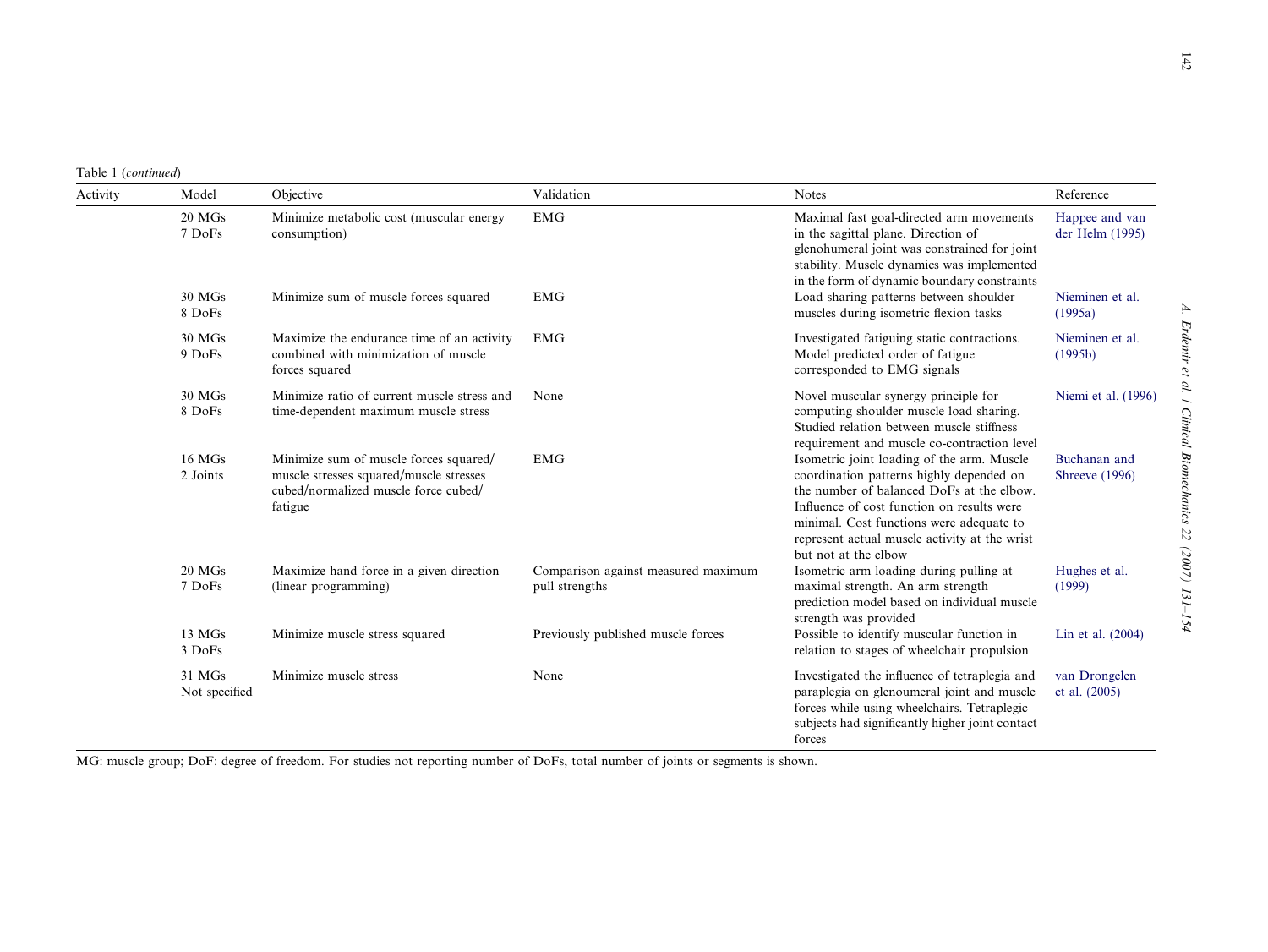Table 1 (continued)

| Activity | Model                     | Objective                                                                                                                            | Validation                                            | <b>Notes</b>                                                                                                                                                                                                                                                                                           | Reference                             |
|----------|---------------------------|--------------------------------------------------------------------------------------------------------------------------------------|-------------------------------------------------------|--------------------------------------------------------------------------------------------------------------------------------------------------------------------------------------------------------------------------------------------------------------------------------------------------------|---------------------------------------|
|          | $20$ MGs<br>7 DoFs        | Minimize metabolic cost (muscular energy<br>consumption)                                                                             | <b>EMG</b>                                            | Maximal fast goal-directed arm movements<br>in the sagittal plane. Direction of<br>glenohumeral joint was constrained for joint<br>stability. Muscle dynamics was implemented<br>in the form of dynamic boundary constraints                                                                           | Happee and van<br>der Helm (1995)     |
|          | $30$ MGs<br>8 DoFs        | Minimize sum of muscle forces squared                                                                                                | EMG                                                   | Load sharing patterns between shoulder<br>muscles during isometric flexion tasks                                                                                                                                                                                                                       | Nieminen et al.<br>(1995a)            |
|          | $30$ MGs<br>9 DoFs        | Maximize the endurance time of an activity<br>combined with minimization of muscle<br>forces squared                                 | EMG                                                   | Investigated fatiguing static contractions.<br>Model predicted order of fatigue<br>corresponded to EMG signals                                                                                                                                                                                         | Nieminen et al.<br>(1995b)            |
|          | $30$ MGs<br>8 DoFs        | Minimize ratio of current muscle stress and<br>time-dependent maximum muscle stress                                                  | None                                                  | Novel muscular synergy principle for<br>computing shoulder muscle load sharing.<br>Studied relation between muscle stiffness<br>requirement and muscle co-contraction level                                                                                                                            | Niemi et al. (1996)                   |
|          | 16 MGs<br>2 Joints        | Minimize sum of muscle forces squared/<br>muscle stresses squared/muscle stresses<br>cubed/normalized muscle force cubed/<br>fatigue | <b>EMG</b>                                            | Isometric joint loading of the arm. Muscle<br>coordination patterns highly depended on<br>the number of balanced DoFs at the elbow.<br>Influence of cost function on results were<br>minimal. Cost functions were adequate to<br>represent actual muscle activity at the wrist<br>but not at the elbow | Buchanan and<br><b>Shreeve</b> (1996) |
|          | $20$ MGs<br>7 DoFs        | Maximize hand force in a given direction<br>(linear programming)                                                                     | Comparison against measured maximum<br>pull strengths | Isometric arm loading during pulling at<br>maximal strength. An arm strength<br>prediction model based on individual muscle<br>strength was provided                                                                                                                                                   | Hughes et al.<br>(1999)               |
|          | $1313$ MGs<br>3 DoFs      | Minimize muscle stress squared                                                                                                       | Previously published muscle forces                    | Possible to identify muscular function in<br>relation to stages of wheelchair propulsion                                                                                                                                                                                                               | Lin et al. $(2004)$                   |
|          | $31$ MGs<br>Not specified | Minimize muscle stress                                                                                                               | None                                                  | Investigated the influence of tetraplegia and<br>paraplegia on glenoumeral joint and muscle<br>forces while using wheelchairs. Tetraplegic<br>subjects had significantly higher joint contact<br>forces                                                                                                | van Drongelen<br>et al. (2005)        |

MG: muscle group; DoF: degree of freedom. For studies not reporting number of DoFs, total number of joints or segments is shown.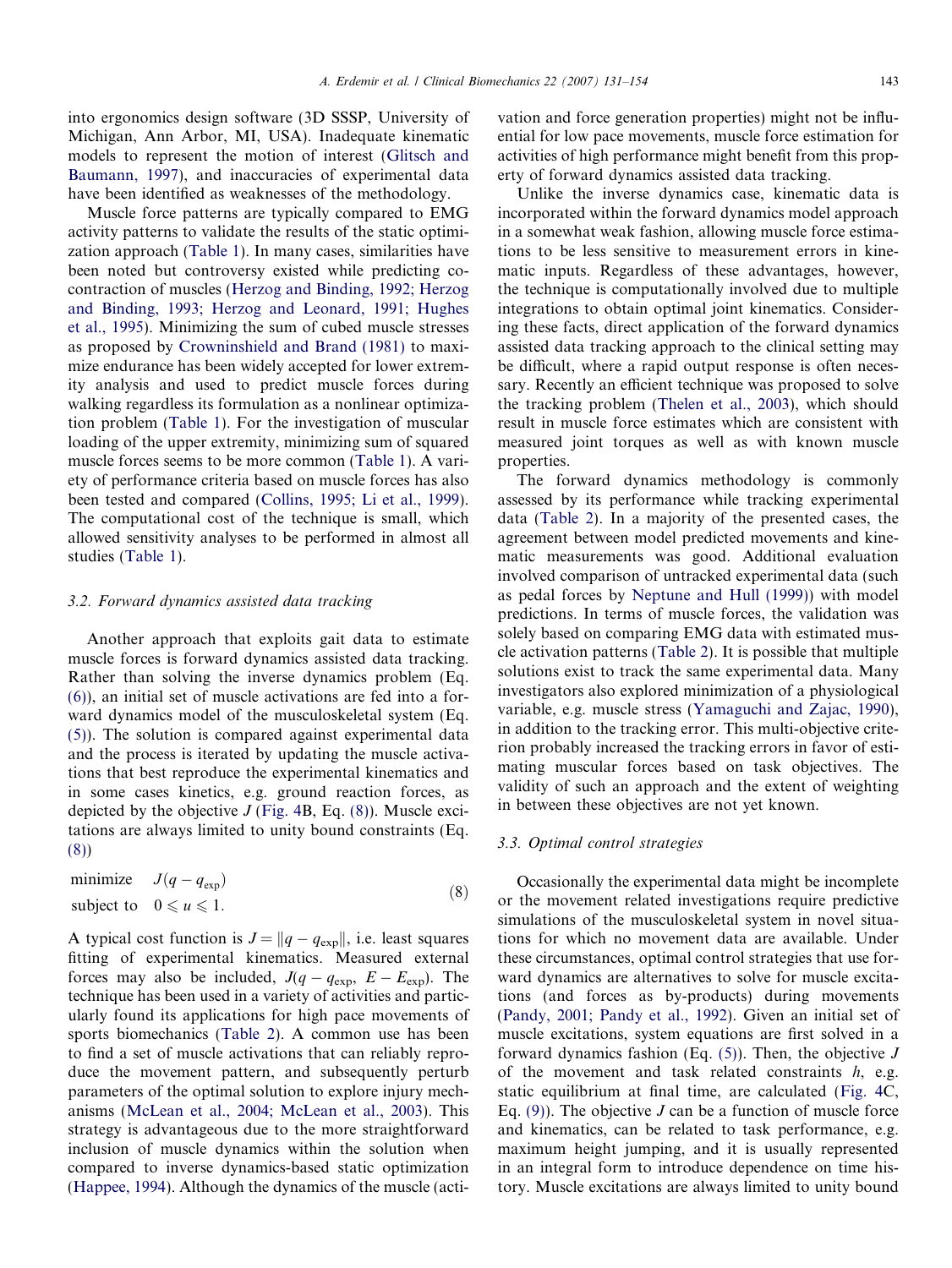into ergonomics design software (3D SSSP, University of Michigan, Ann Arbor, MI, USA). Inadequate kinematic models to represent the motion of interest ([Glitsch and](#page-20-0) [Baumann, 1997\)](#page-20-0), and inaccuracies of experimental data have been identified as weaknesses of the methodology.

Muscle force patterns are typically compared to EMG activity patterns to validate the results of the static optimization approach [\(Table 1](#page-5-0)). In many cases, similarities have been noted but controversy existed while predicting cocontraction of muscles ([Herzog and Binding, 1992; Herzog](#page-20-0) [and Binding, 1993; Herzog and Leonard, 1991; Hughes](#page-20-0) [et al., 1995\)](#page-20-0). Minimizing the sum of cubed muscle stresses as proposed by [Crowninshield and Brand \(1981\)](#page-20-0) to maximize endurance has been widely accepted for lower extremity analysis and used to predict muscle forces during walking regardless its formulation as a nonlinear optimization problem ([Table 1](#page-5-0)). For the investigation of muscular loading of the upper extremity, minimizing sum of squared muscle forces seems to be more common [\(Table 1](#page-5-0)). A variety of performance criteria based on muscle forces has also been tested and compared [\(Collins, 1995; Li et al., 1999\)](#page-20-0). The computational cost of the technique is small, which allowed sensitivity analyses to be performed in almost all studies [\(Table 1\)](#page-5-0).

## 3.2. Forward dynamics assisted data tracking

Another approach that exploits gait data to estimate muscle forces is forward dynamics assisted data tracking. Rather than solving the inverse dynamics problem (Eq. [\(6\)](#page-3-0)), an initial set of muscle activations are fed into a forward dynamics model of the musculoskeletal system (Eq. [\(5\)](#page-2-0)). The solution is compared against experimental data and the process is iterated by updating the muscle activations that best reproduce the experimental kinematics and in some cases kinetics, e.g. ground reaction forces, as depicted by the objective  $J$  ([Fig. 4B](#page-4-0), Eq. (8)). Muscle excitations are always limited to unity bound constraints (Eq. (8))

minimize  $J(q - q_{exp})$ subject to  $0 \le u \le 1$ . (8)

A typical cost function is  $J = ||q - q_{exp}||$ , i.e. least squares fitting of experimental kinematics. Measured external forces may also be included,  $J(q - q_{exp}, E - E_{exp})$ . The technique has been used in a variety of activities and particularly found its applications for high pace movements of sports biomechanics [\(Table 2](#page-13-0)). A common use has been to find a set of muscle activations that can reliably reproduce the movement pattern, and subsequently perturb parameters of the optimal solution to explore injury mechanisms [\(McLean et al., 2004; McLean et al., 2003\)](#page-21-0). This strategy is advantageous due to the more straightforward inclusion of muscle dynamics within the solution when compared to inverse dynamics-based static optimization ([Happee, 1994\)](#page-20-0). Although the dynamics of the muscle (activation and force generation properties) might not be influential for low pace movements, muscle force estimation for activities of high performance might benefit from this property of forward dynamics assisted data tracking.

Unlike the inverse dynamics case, kinematic data is incorporated within the forward dynamics model approach in a somewhat weak fashion, allowing muscle force estimations to be less sensitive to measurement errors in kinematic inputs. Regardless of these advantages, however, the technique is computationally involved due to multiple integrations to obtain optimal joint kinematics. Considering these facts, direct application of the forward dynamics assisted data tracking approach to the clinical setting may be difficult, where a rapid output response is often necessary. Recently an efficient technique was proposed to solve the tracking problem ([Thelen et al., 2003](#page-22-0)), which should result in muscle force estimates which are consistent with measured joint torques as well as with known muscle properties.

The forward dynamics methodology is commonly assessed by its performance while tracking experimental data ([Table 2](#page-13-0)). In a majority of the presented cases, the agreement between model predicted movements and kinematic measurements was good. Additional evaluation involved comparison of untracked experimental data (such as pedal forces by [Neptune and Hull \(1999\)](#page-21-0)) with model predictions. In terms of muscle forces, the validation was solely based on comparing EMG data with estimated muscle activation patterns [\(Table 2](#page-13-0)). It is possible that multiple solutions exist to track the same experimental data. Many investigators also explored minimization of a physiological variable, e.g. muscle stress ([Yamaguchi and Zajac, 1990\)](#page-22-0), in addition to the tracking error. This multi-objective criterion probably increased the tracking errors in favor of estimating muscular forces based on task objectives. The validity of such an approach and the extent of weighting in between these objectives are not yet known.

## 3.3. Optimal control strategies

Occasionally the experimental data might be incomplete or the movement related investigations require predictive simulations of the musculoskeletal system in novel situations for which no movement data are available. Under these circumstances, optimal control strategies that use forward dynamics are alternatives to solve for muscle excitations (and forces as by-products) during movements ([Pandy, 2001; Pandy et al., 1992](#page-21-0)). Given an initial set of muscle excitations, system equations are first solved in a forward dynamics fashion (Eq.  $(5)$ ). Then, the objective J of the movement and task related constraints  $h$ , e.g. static equilibrium at final time, are calculated ([Fig. 4C](#page-4-0), Eq.  $(9)$ ). The objective *J* can be a function of muscle force and kinematics, can be related to task performance, e.g. maximum height jumping, and it is usually represented in an integral form to introduce dependence on time history. Muscle excitations are always limited to unity bound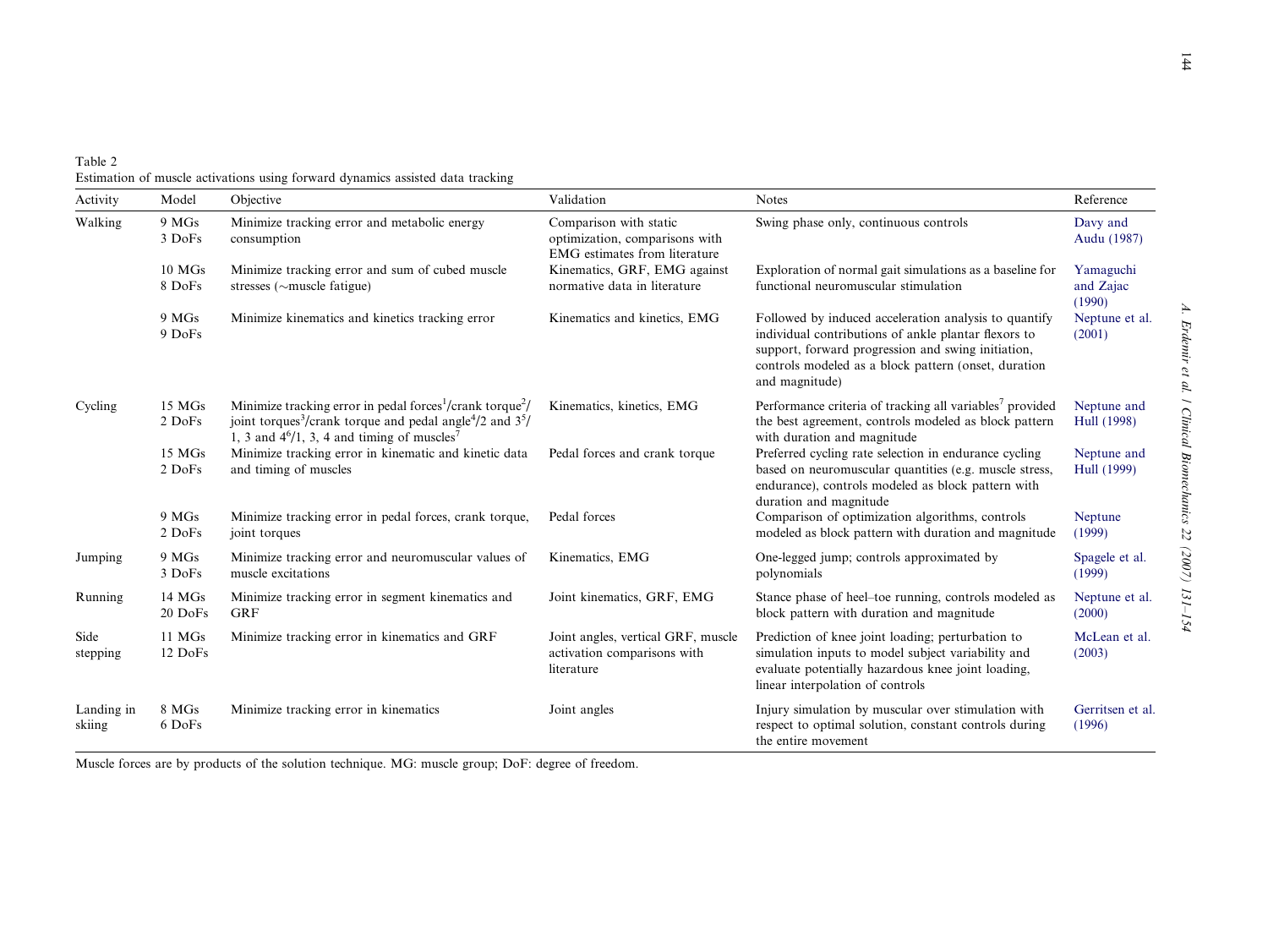<span id="page-13-0"></span>Table 2 Estimation of muscle activations using forward dynamics assisted data tracking

| Activity             | Model             | Objective                                                                                                                                                                                                                              | Validation                                                                                | <b>Notes</b>                                                                                                                                                                                                                                  | Reference                        |
|----------------------|-------------------|----------------------------------------------------------------------------------------------------------------------------------------------------------------------------------------------------------------------------------------|-------------------------------------------------------------------------------------------|-----------------------------------------------------------------------------------------------------------------------------------------------------------------------------------------------------------------------------------------------|----------------------------------|
| Walking              | 9 MGs<br>3 DoFs   | Minimize tracking error and metabolic energy<br>consumption                                                                                                                                                                            | Comparison with static<br>optimization, comparisons with<br>EMG estimates from literature | Swing phase only, continuous controls                                                                                                                                                                                                         | Davy and<br>Audu (1987)          |
|                      | 10 MGs<br>8 DoFs  | Minimize tracking error and sum of cubed muscle<br>stresses ( $\sim$ muscle fatigue)                                                                                                                                                   | Kinematics, GRF, EMG against<br>normative data in literature                              | Exploration of normal gait simulations as a baseline for<br>functional neuromuscular stimulation                                                                                                                                              | Yamaguchi<br>and Zajac<br>(1990) |
|                      | 9 MGs<br>9 DoFs   | Minimize kinematics and kinetics tracking error                                                                                                                                                                                        | Kinematics and kinetics, EMG                                                              | Followed by induced acceleration analysis to quantify<br>individual contributions of ankle plantar flexors to<br>support, forward progression and swing initiation,<br>controls modeled as a block pattern (onset, duration<br>and magnitude) | Neptune et al.<br>(2001)         |
| Cycling              | 15 MGs<br>2 DoFs  | Minimize tracking error in pedal forces <sup>1</sup> /crank torque <sup>2</sup> /<br>joint torques <sup>3</sup> /crank torque and pedal angle <sup>4</sup> /2 and $35$ /<br>1, 3 and $4^6/1$ , 3, 4 and timing of muscles <sup>7</sup> | Kinematics, kinetics, EMG                                                                 | Performance criteria of tracking all variables <sup>7</sup> provided<br>the best agreement, controls modeled as block pattern<br>with duration and magnitude                                                                                  | Neptune and<br>Hull (1998)       |
|                      | 15 MGs<br>2 DoFs  | Minimize tracking error in kinematic and kinetic data<br>and timing of muscles                                                                                                                                                         | Pedal forces and crank torque                                                             | Preferred cycling rate selection in endurance cycling<br>based on neuromuscular quantities (e.g. muscle stress,<br>endurance), controls modeled as block pattern with<br>duration and magnitude                                               | Neptune and<br>Hull (1999)       |
|                      | 9 MGs<br>2 DoFs   | Minimize tracking error in pedal forces, crank torque,<br>joint torques                                                                                                                                                                | Pedal forces                                                                              | Comparison of optimization algorithms, controls<br>modeled as block pattern with duration and magnitude                                                                                                                                       | Neptune<br>(1999)                |
| Jumping              | 9 MGs<br>3 DoFs   | Minimize tracking error and neuromuscular values of<br>muscle excitations                                                                                                                                                              | Kinematics, EMG                                                                           | One-legged jump; controls approximated by<br>polynomials                                                                                                                                                                                      | Spagele et al.<br>(1999)         |
| Running              | 14 MGs<br>20 DoFs | Minimize tracking error in segment kinematics and<br><b>GRF</b>                                                                                                                                                                        | Joint kinematics, GRF, EMG                                                                | Stance phase of heel-toe running, controls modeled as<br>block pattern with duration and magnitude                                                                                                                                            | Neptune et al.<br>(2000)         |
| Side<br>stepping     | 11 MGs<br>12 DoFs | Minimize tracking error in kinematics and GRF                                                                                                                                                                                          | Joint angles, vertical GRF, muscle<br>activation comparisons with<br>literature           | Prediction of knee joint loading; perturbation to<br>simulation inputs to model subject variability and<br>evaluate potentially hazardous knee joint loading,<br>linear interpolation of controls                                             | McLean et al.<br>(2003)          |
| Landing in<br>skiing | 8 MGs<br>6 DoFs   | Minimize tracking error in kinematics                                                                                                                                                                                                  | Joint angles                                                                              | Injury simulation by muscular over stimulation with<br>respect to optimal solution, constant controls during<br>the entire movement                                                                                                           | Gerritsen et al.<br>(1996)       |

Muscle forces are by products of the solution technique. MG: muscle group; DoF: degree of freedom.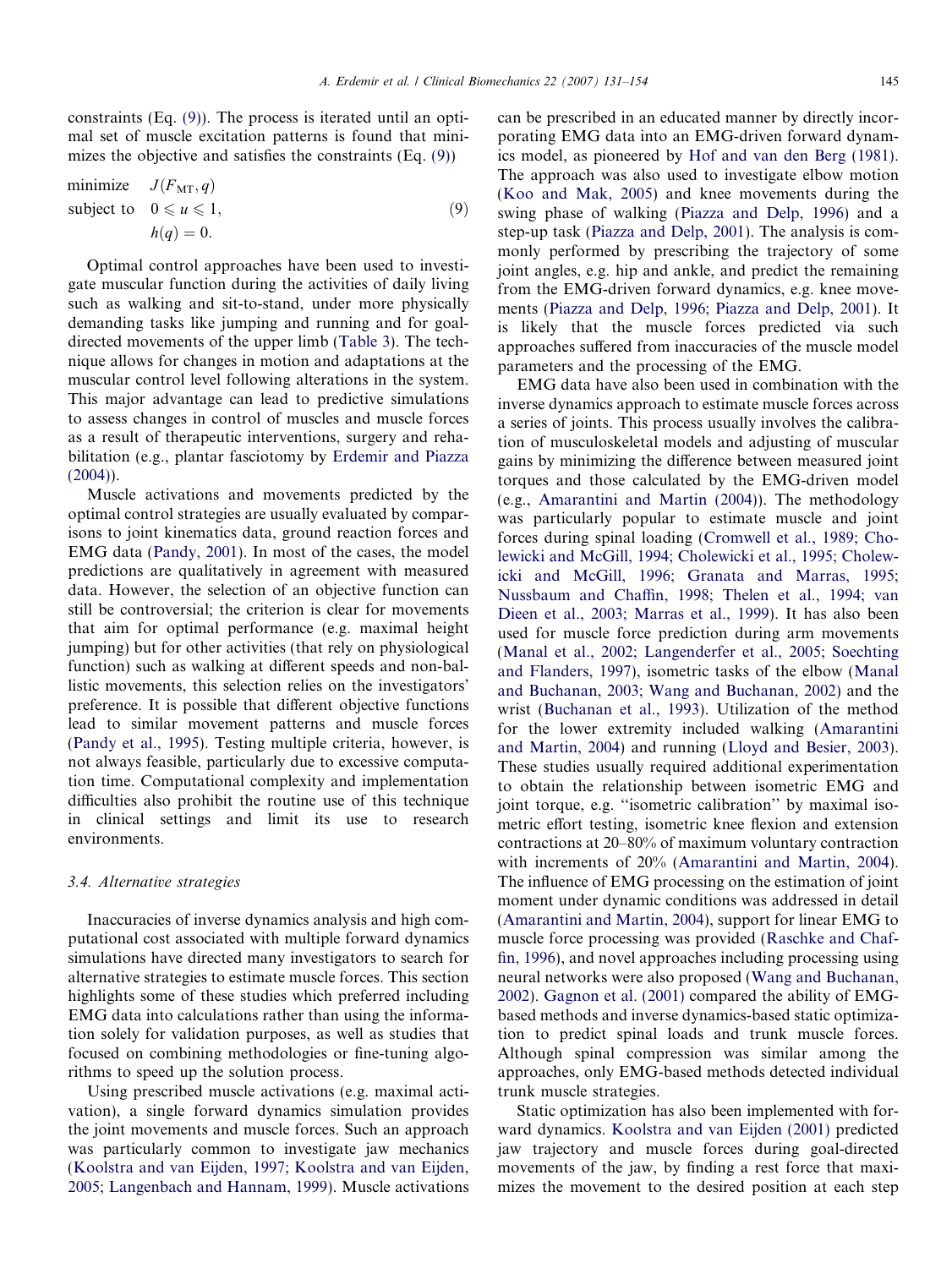<span id="page-14-0"></span>constraints (Eq. (9)). The process is iterated until an optimal set of muscle excitation patterns is found that minimizes the objective and satisfies the constraints (Eq. (9))

minimize 
$$
J(F_{\text{MT}}, q)
$$
  
subject to  $0 \le u \le 1$ ,  
 $h(q) = 0$ . (9)

Optimal control approaches have been used to investigate muscular function during the activities of daily living such as walking and sit-to-stand, under more physically demanding tasks like jumping and running and for goaldirected movements of the upper limb ([Table 3](#page-15-0)). The technique allows for changes in motion and adaptations at the muscular control level following alterations in the system. This major advantage can lead to predictive simulations to assess changes in control of muscles and muscle forces as a result of therapeutic interventions, surgery and rehabilitation (e.g., plantar fasciotomy by [Erdemir and Piazza](#page-20-0)  $(2004)$ ).

Muscle activations and movements predicted by the optimal control strategies are usually evaluated by comparisons to joint kinematics data, ground reaction forces and EMG data ([Pandy, 2001\)](#page-21-0). In most of the cases, the model predictions are qualitatively in agreement with measured data. However, the selection of an objective function can still be controversial; the criterion is clear for movements that aim for optimal performance (e.g. maximal height jumping) but for other activities (that rely on physiological function) such as walking at different speeds and non-ballistic movements, this selection relies on the investigators' preference. It is possible that different objective functions lead to similar movement patterns and muscle forces ([Pandy et al., 1995\)](#page-22-0). Testing multiple criteria, however, is not always feasible, particularly due to excessive computation time. Computational complexity and implementation difficulties also prohibit the routine use of this technique in clinical settings and limit its use to research environments.

#### 3.4. Alternative strategies

Inaccuracies of inverse dynamics analysis and high computational cost associated with multiple forward dynamics simulations have directed many investigators to search for alternative strategies to estimate muscle forces. This section highlights some of these studies which preferred including EMG data into calculations rather than using the information solely for validation purposes, as well as studies that focused on combining methodologies or fine-tuning algorithms to speed up the solution process.

Using prescribed muscle activations (e.g. maximal activation), a single forward dynamics simulation provides the joint movements and muscle forces. Such an approach was particularly common to investigate jaw mechanics ([Koolstra and van Eijden, 1997; Koolstra and van Eijden,](#page-21-0) [2005; Langenbach and Hannam, 1999\)](#page-21-0). Muscle activations can be prescribed in an educated manner by directly incorporating EMG data into an EMG-driven forward dynamics model, as pioneered by [Hof and van den Berg \(1981\).](#page-20-0) The approach was also used to investigate elbow motion ([Koo and Mak, 2005](#page-21-0)) and knee movements during the swing phase of walking ([Piazza and Delp, 1996](#page-22-0)) and a step-up task [\(Piazza and Delp, 2001](#page-22-0)). The analysis is commonly performed by prescribing the trajectory of some joint angles, e.g. hip and ankle, and predict the remaining from the EMG-driven forward dynamics, e.g. knee movements ([Piazza and Delp, 1996; Piazza and Delp, 2001\)](#page-22-0). It is likely that the muscle forces predicted via such approaches suffered from inaccuracies of the muscle model parameters and the processing of the EMG.

EMG data have also been used in combination with the inverse dynamics approach to estimate muscle forces across a series of joints. This process usually involves the calibration of musculoskeletal models and adjusting of muscular gains by minimizing the difference between measured joint torques and those calculated by the EMG-driven model (e.g., [Amarantini and Martin \(2004\)](#page-19-0)). The methodology was particularly popular to estimate muscle and joint forces during spinal loading ([Cromwell et al., 1989; Cho](#page-20-0)[lewicki and McGill, 1994; Cholewicki et al., 1995; Cholew](#page-20-0)[icki and McGill, 1996; Granata and Marras, 1995;](#page-20-0) [Nussbaum and Chaffin, 1998; Thelen et al., 1994; van](#page-20-0) [Dieen et al., 2003; Marras et al., 1999](#page-20-0)). It has also been used for muscle force prediction during arm movements ([Manal et al., 2002; Langenderfer et al., 2005; Soechting](#page-21-0) [and Flanders, 1997](#page-21-0)), isometric tasks of the elbow ([Manal](#page-21-0) [and Buchanan, 2003; Wang and Buchanan, 2002](#page-21-0)) and the wrist [\(Buchanan et al., 1993\)](#page-20-0). Utilization of the method for the lower extremity included walking [\(Amarantini](#page-19-0) [and Martin, 2004\)](#page-19-0) and running [\(Lloyd and Besier, 2003\)](#page-21-0). These studies usually required additional experimentation to obtain the relationship between isometric EMG and joint torque, e.g. ''isometric calibration'' by maximal isometric effort testing, isometric knee flexion and extension contractions at 20–80% of maximum voluntary contraction with increments of 20% ([Amarantini and Martin, 2004\)](#page-19-0). The influence of EMG processing on the estimation of joint moment under dynamic conditions was addressed in detail ([Amarantini and Martin, 2004\)](#page-19-0), support for linear EMG to muscle force processing was provided ([Raschke and Chaf](#page-22-0)[fin, 1996\)](#page-22-0), and novel approaches including processing using neural networks were also proposed [\(Wang and Buchanan,](#page-22-0) [2002](#page-22-0)). [Gagnon et al. \(2001\)](#page-20-0) compared the ability of EMGbased methods and inverse dynamics-based static optimization to predict spinal loads and trunk muscle forces. Although spinal compression was similar among the approaches, only EMG-based methods detected individual trunk muscle strategies.

Static optimization has also been implemented with forward dynamics. [Koolstra and van Eijden \(2001\)](#page-21-0) predicted jaw trajectory and muscle forces during goal-directed movements of the jaw, by finding a rest force that maximizes the movement to the desired position at each step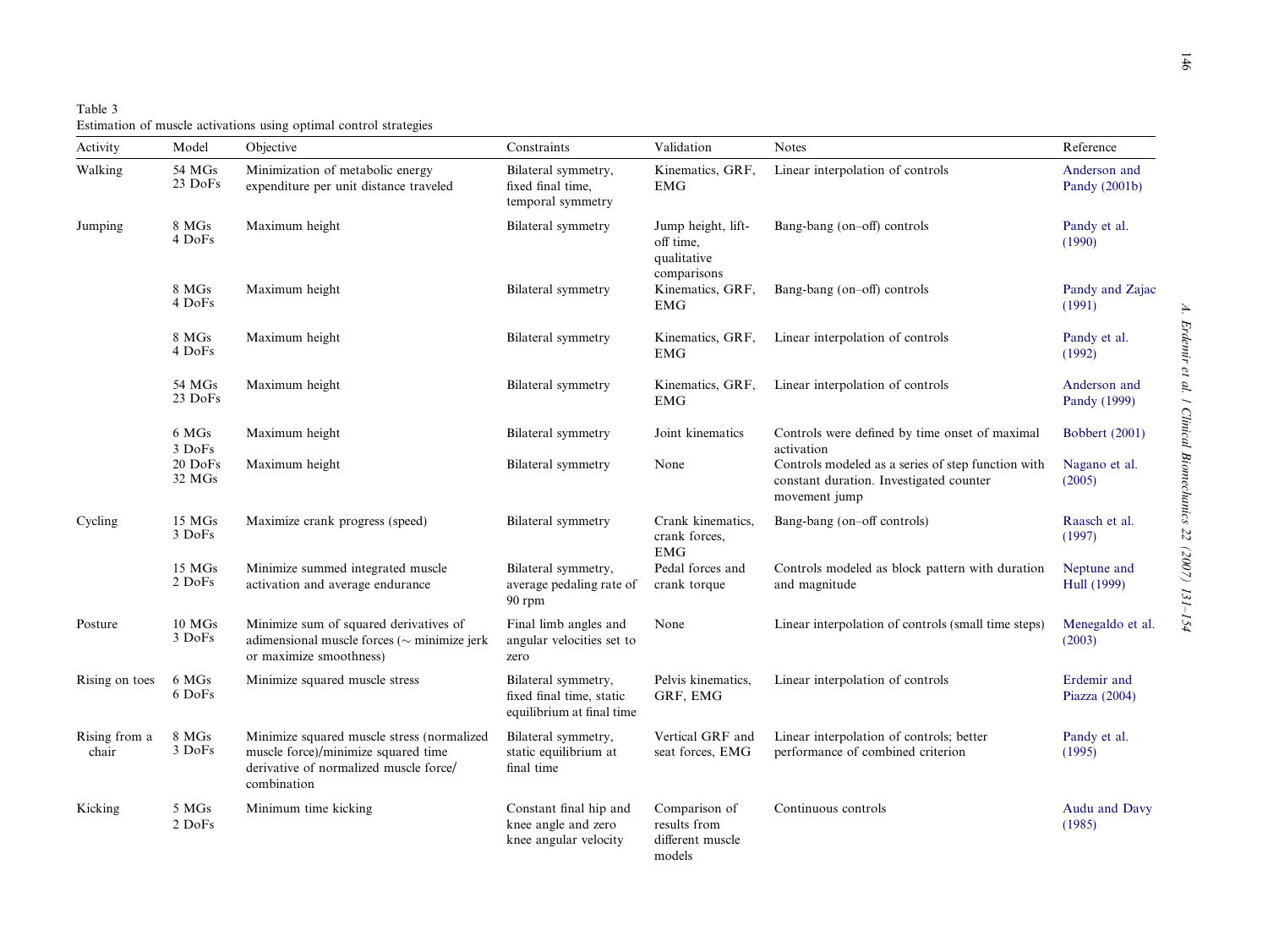<span id="page-15-0"></span>Table 3 Estimation of muscle activations using optimal control strategies

| Activity               | Model                       | Objective                                                                                                                                  | Constraints                                                                  | Validation                                                  | <b>Notes</b>                                                                                                                 | Reference                     |
|------------------------|-----------------------------|--------------------------------------------------------------------------------------------------------------------------------------------|------------------------------------------------------------------------------|-------------------------------------------------------------|------------------------------------------------------------------------------------------------------------------------------|-------------------------------|
| Walking                | 54 MGs<br>23 DoFs           | Minimization of metabolic energy<br>expenditure per unit distance traveled                                                                 | Bilateral symmetry,<br>fixed final time,<br>temporal symmetry                | Kinematics, GRF,<br><b>EMG</b>                              | Linear interpolation of controls                                                                                             | Anderson and<br>Pandy (2001b) |
| Jumping                | 8 MGs<br>4 DoFs             | Maximum height                                                                                                                             | Bilateral symmetry                                                           | Jump height, lift-<br>off time,<br>qualitative              | Bang-bang (on-off) controls                                                                                                  | Pandy et al.<br>(1990)        |
|                        | 8 MGs<br>4 DoFs             | Maximum height                                                                                                                             | Bilateral symmetry                                                           | comparisons<br>Kinematics, GRF,<br><b>EMG</b>               | Bang-bang (on-off) controls                                                                                                  | Pandy and Zajac<br>(1991)     |
|                        | 8 MGs<br>4 DoFs             | Maximum height                                                                                                                             | Bilateral symmetry                                                           | Kinematics, GRF,<br><b>EMG</b>                              | Linear interpolation of controls                                                                                             | Pandy et al.<br>(1992)        |
|                        | 54 MGs<br>23 DoFs           | Maximum height                                                                                                                             | Bilateral symmetry                                                           | Kinematics, GRF,<br><b>EMG</b>                              | Linear interpolation of controls                                                                                             | Anderson and<br>Pandy (1999)  |
|                        | 6 MGs                       | Maximum height                                                                                                                             | Bilateral symmetry                                                           | Joint kinematics                                            | Controls were defined by time onset of maximal                                                                               | <b>Bobbert</b> (2001)         |
|                        | 3 DoFs<br>20 DoFs<br>32 MGs | Maximum height                                                                                                                             | Bilateral symmetry                                                           | None                                                        | activation<br>Controls modeled as a series of step function with<br>constant duration. Investigated counter<br>movement jump | Nagano et al.<br>(2005)       |
| Cycling                | 15 MGs<br>3 DoFs            | Maximize crank progress (speed)                                                                                                            | Bilateral symmetry                                                           | Crank kinematics,<br>crank forces,<br><b>EMG</b>            | Bang-bang (on-off controls)                                                                                                  | Raasch et al.<br>(1997)       |
|                        | 15 MGs<br>2 DoFs            | Minimize summed integrated muscle<br>activation and average endurance                                                                      | Bilateral symmetry,<br>average pedaling rate of<br>90 rpm                    | Pedal forces and<br>crank torque                            | Controls modeled as block pattern with duration<br>and magnitude                                                             | Neptune and<br>Hull (1999)    |
| Posture                | $10$ MGs<br>3 DoFs          | Minimize sum of squared derivatives of<br>adimensional muscle forces ( $\sim$ minimize jerk<br>or maximize smoothness)                     | Final limb angles and<br>angular velocities set to<br>zero                   | None                                                        | Linear interpolation of controls (small time steps)                                                                          | Menegaldo et al.<br>(2003)    |
| Rising on toes         | 6 MGs<br>6 DoFs             | Minimize squared muscle stress                                                                                                             | Bilateral symmetry,<br>fixed final time, static<br>equilibrium at final time | Pelvis kinematics,<br>GRF, EMG                              | Linear interpolation of controls                                                                                             | Erdemir and<br>Piazza (2004)  |
| Rising from a<br>chair | 8 MGs<br>3 DoFs             | Minimize squared muscle stress (normalized<br>muscle force)/minimize squared time<br>derivative of normalized muscle force/<br>combination | Bilateral symmetry,<br>static equilibrium at<br>final time                   | Vertical GRF and<br>seat forces, EMG                        | Linear interpolation of controls; better<br>performance of combined criterion                                                | Pandy et al.<br>(1995)        |
| Kicking                | 5 MGs<br>2 DoFs             | Minimum time kicking                                                                                                                       | Constant final hip and<br>knee angle and zero<br>knee angular velocity       | Comparison of<br>results from<br>different muscle<br>models | Continuous controls                                                                                                          | Audu and Davy<br>(1985)       |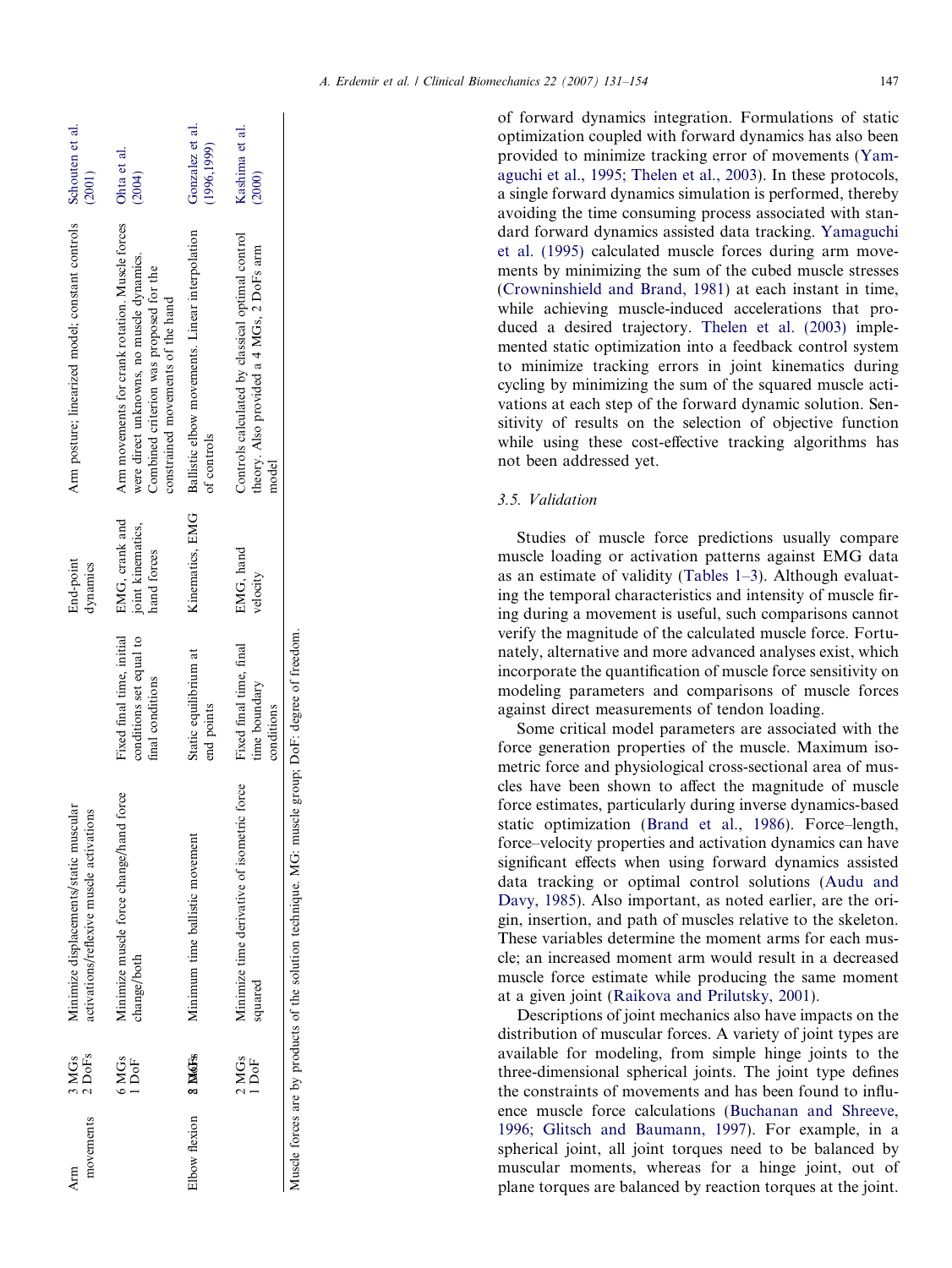| movements<br>Arm | 2 DoFs<br>$3\overline{M}$ Gs | Minimize displacements/static muscular<br>activations/reflexive muscle activations                 |                                                                          | End-point<br>dynamics                              | Arm posture; linearized model; constant controls Schouten et al.                                                                                                             | (2001)                          |
|------------------|------------------------------|----------------------------------------------------------------------------------------------------|--------------------------------------------------------------------------|----------------------------------------------------|------------------------------------------------------------------------------------------------------------------------------------------------------------------------------|---------------------------------|
|                  | $6\,\mathrm{MGs}$<br>1DoF    | <i>Force</i><br>Minimize muscle force change/hand<br>change/both                                   | Fixed final time, initial<br>conditions set equal to<br>final conditions | EMG, crank and<br>joint kinematics,<br>hand forces | Arm movements for crank rotation. Muscle forces<br>were direct unknowns, no muscle dynamics.<br>Combined criterion was proposed for the<br>constrained movements of the hand | Ohta et al.<br>(2004)           |
| Elbow flexion    | 2 <b>MoFs</b>                | Minimum time ballistic movement                                                                    | Static equilibrium at<br>end points                                      | Kinematics, EMG                                    | Ballistic elbow movements. Linear interpolation<br>of controls                                                                                                               | Gonzalez et al.<br>(1996, 1999) |
|                  | $2$ MGs<br>1DoF              | Minimize time derivative of isometric force<br>squared                                             | Fixed final time, final<br>time boundary<br>conditions                   | EMG, hand<br>velocity                              | Controls calculated by classical optimal control<br>theory. Also provided a 4 MGs, 2 DoFs arm<br>model                                                                       | Kashima et al.<br>(2000)        |
|                  |                              | Muscle forces are by products of the solution technique. MG: muscle group; DoF: degree of freedom. |                                                                          |                                                    |                                                                                                                                                                              |                                 |

of forward dynamics integration. Formulations of static optimization coupled with forward dynamics has also been provided to minimize tracking error of movements [\(Yam](#page-22-0)[aguchi et al., 1995; Thelen et al., 2003\)](#page-22-0). In these protocols, a single forward dynamics simulation is performed, thereby avoiding the time consuming process associated with standard forward dynamics assisted data tracking. [Yamaguchi](#page-22-0) [et al. \(1995\)](#page-22-0) calculated muscle forces during arm movements by minimizing the sum of the cubed muscle stresses ([Crowninshield and Brand, 1981\)](#page-20-0) at each instant in time, while achieving muscle-induced accelerations that produced a desired trajectory. [Thelen et al. \(2003\)](#page-22-0) implemented static optimization into a feedback control system to minimize tracking errors in joint kinematics during cycling by minimizing the sum of the squared muscle activations at each step of the forward dynamic solution. Sensitivity of results on the selection of objective function while using these cost-effective tracking algorithms has not been addressed yet.

# 3.5. Validation

Studies of muscle force predictions usually compare muscle loading or activation patterns against EMG data as an estimate of validity ([Tables 1–3](#page-5-0)). Although evaluating the temporal characteristics and intensity of muscle firing during a movement is useful, such comparisons cannot verify the magnitude of the calculated muscle force. Fortunately, alternative and more advanced analyses exist, which incorporate the quantification of muscle force sensitivity on modeling parameters and comparisons of muscle forces against direct measurements of tendon loading.

Some critical model parameters are associated with the force generation properties of the muscle. Maximum isometric force and physiological cross-sectional area of muscles have been shown to affect the magnitude of muscle force estimates, particularly during inverse dynamics-based static optimization ([Brand et al., 1986](#page-20-0)). Force–length, force–velocity properties and activation dynamics can have significant effects when using forward dynamics assisted data tracking or optimal control solutions [\(Audu and](#page-19-0) [Davy, 1985\)](#page-19-0). Also important, as noted earlier, are the origin, insertion, and path of muscles relative to the skeleton. These variables determine the moment arms for each muscle; an increased moment arm would result in a decreased muscle force estimate while producing the same moment at a given joint ([Raikova and Prilutsky, 2001](#page-22-0)).

Descriptions of joint mechanics also have impacts on the distribution of muscular forces. A variety of joint types are available for modeling, from simple hinge joints to the three-dimensional spherical joints. The joint type defines the constraints of movements and has been found to influence muscle force calculations ([Buchanan and Shreeve,](#page-20-0) [1996; Glitsch and Baumann, 1997](#page-20-0)). For example, in a spherical joint, all joint torques need to be balanced by muscular moments, whereas for a hinge joint, out of plane torques are balanced by reaction torques at the joint.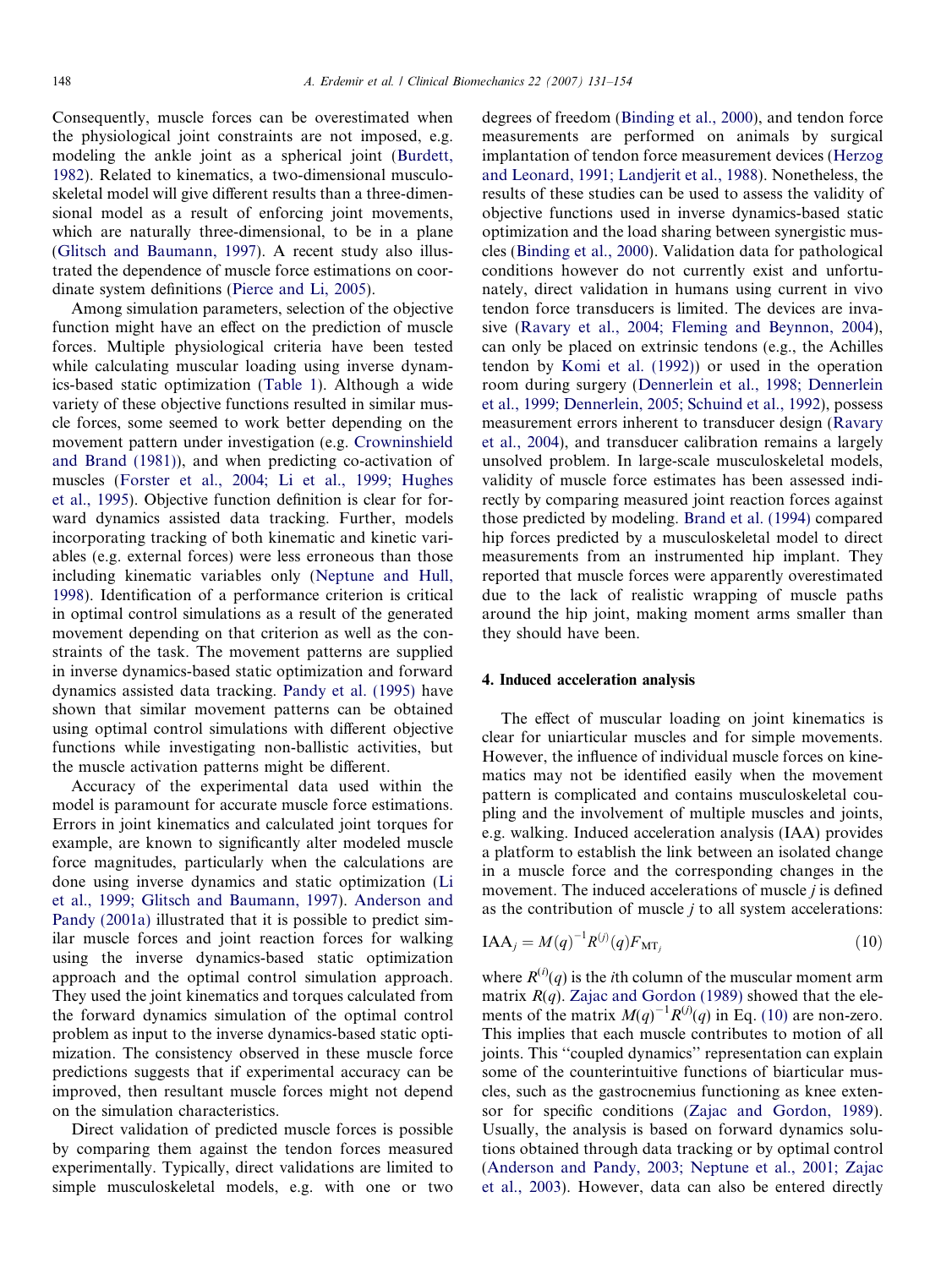<span id="page-17-0"></span>Consequently, muscle forces can be overestimated when the physiological joint constraints are not imposed, e.g. modeling the ankle joint as a spherical joint [\(Burdett,](#page-20-0) [1982\)](#page-20-0). Related to kinematics, a two-dimensional musculoskeletal model will give different results than a three-dimensional model as a result of enforcing joint movements, which are naturally three-dimensional, to be in a plane [\(Glitsch and Baumann, 1997](#page-20-0)). A recent study also illustrated the dependence of muscle force estimations on coordinate system definitions [\(Pierce and Li, 2005](#page-22-0)).

Among simulation parameters, selection of the objective function might have an effect on the prediction of muscle forces. Multiple physiological criteria have been tested while calculating muscular loading using inverse dynamics-based static optimization ([Table 1\)](#page-5-0). Although a wide variety of these objective functions resulted in similar muscle forces, some seemed to work better depending on the movement pattern under investigation (e.g. [Crowninshield](#page-20-0) [and Brand \(1981\)](#page-20-0)), and when predicting co-activation of muscles ([Forster et al., 2004; Li et al., 1999; Hughes](#page-20-0) [et al., 1995\)](#page-20-0). Objective function definition is clear for forward dynamics assisted data tracking. Further, models incorporating tracking of both kinematic and kinetic variables (e.g. external forces) were less erroneous than those including kinematic variables only [\(Neptune and Hull,](#page-21-0) [1998\)](#page-21-0). Identification of a performance criterion is critical in optimal control simulations as a result of the generated movement depending on that criterion as well as the constraints of the task. The movement patterns are supplied in inverse dynamics-based static optimization and forward dynamics assisted data tracking. [Pandy et al. \(1995\)](#page-22-0) have shown that similar movement patterns can be obtained using optimal control simulations with different objective functions while investigating non-ballistic activities, but the muscle activation patterns might be different.

Accuracy of the experimental data used within the model is paramount for accurate muscle force estimations. Errors in joint kinematics and calculated joint torques for example, are known to significantly alter modeled muscle force magnitudes, particularly when the calculations are done using inverse dynamics and static optimization [\(Li](#page-21-0) [et al., 1999; Glitsch and Baumann, 1997\)](#page-21-0). [Anderson and](#page-19-0) [Pandy \(2001a\)](#page-19-0) illustrated that it is possible to predict similar muscle forces and joint reaction forces for walking using the inverse dynamics-based static optimization approach and the optimal control simulation approach. They used the joint kinematics and torques calculated from the forward dynamics simulation of the optimal control problem as input to the inverse dynamics-based static optimization. The consistency observed in these muscle force predictions suggests that if experimental accuracy can be improved, then resultant muscle forces might not depend on the simulation characteristics.

Direct validation of predicted muscle forces is possible by comparing them against the tendon forces measured experimentally. Typically, direct validations are limited to simple musculoskeletal models, e.g. with one or two degrees of freedom ([Binding et al., 2000](#page-19-0)), and tendon force measurements are performed on animals by surgical implantation of tendon force measurement devices [\(Herzog](#page-20-0) [and Leonard, 1991; Landjerit et al., 1988](#page-20-0)). Nonetheless, the results of these studies can be used to assess the validity of objective functions used in inverse dynamics-based static optimization and the load sharing between synergistic muscles [\(Binding et al., 2000\)](#page-19-0). Validation data for pathological conditions however do not currently exist and unfortunately, direct validation in humans using current in vivo tendon force transducers is limited. The devices are invasive ([Ravary et al., 2004; Fleming and Beynnon, 2004\)](#page-22-0), can only be placed on extrinsic tendons (e.g., the Achilles tendon by [Komi et al. \(1992\)\)](#page-21-0) or used in the operation room during surgery [\(Dennerlein et al., 1998; Dennerlein](#page-20-0) [et al., 1999; Dennerlein, 2005; Schuind et al., 1992](#page-20-0)), possess measurement errors inherent to transducer design [\(Ravary](#page-22-0) [et al., 2004\)](#page-22-0), and transducer calibration remains a largely unsolved problem. In large-scale musculoskeletal models, validity of muscle force estimates has been assessed indirectly by comparing measured joint reaction forces against those predicted by modeling. [Brand et al. \(1994\)](#page-19-0) compared hip forces predicted by a musculoskeletal model to direct measurements from an instrumented hip implant. They reported that muscle forces were apparently overestimated due to the lack of realistic wrapping of muscle paths around the hip joint, making moment arms smaller than they should have been.

#### 4. Induced acceleration analysis

The effect of muscular loading on joint kinematics is clear for uniarticular muscles and for simple movements. However, the influence of individual muscle forces on kinematics may not be identified easily when the movement pattern is complicated and contains musculoskeletal coupling and the involvement of multiple muscles and joints, e.g. walking. Induced acceleration analysis (IAA) provides a platform to establish the link between an isolated change in a muscle force and the corresponding changes in the movement. The induced accelerations of muscle  $j$  is defined as the contribution of muscle  $j$  to all system accelerations:

$$
IAA_j = M(q)^{-1}R^{(j)}(q)F_{MT_j}
$$
\n(10)

where  $R^{(i)}(q)$  is the *i*th column of the muscular moment arm matrix  $R(q)$ . [Zajac and Gordon \(1989\)](#page-23-0) showed that the elements of the matrix  $M(q)^{-1}R^{(j)}(q)$  in Eq. (10) are non-zero. This implies that each muscle contributes to motion of all joints. This ''coupled dynamics'' representation can explain some of the counterintuitive functions of biarticular muscles, such as the gastrocnemius functioning as knee extensor for specific conditions [\(Zajac and Gordon, 1989\)](#page-23-0). Usually, the analysis is based on forward dynamics solutions obtained through data tracking or by optimal control [\(Anderson and Pandy, 2003; Neptune et al., 2001; Zajac](#page-19-0) [et al., 2003](#page-19-0)). However, data can also be entered directly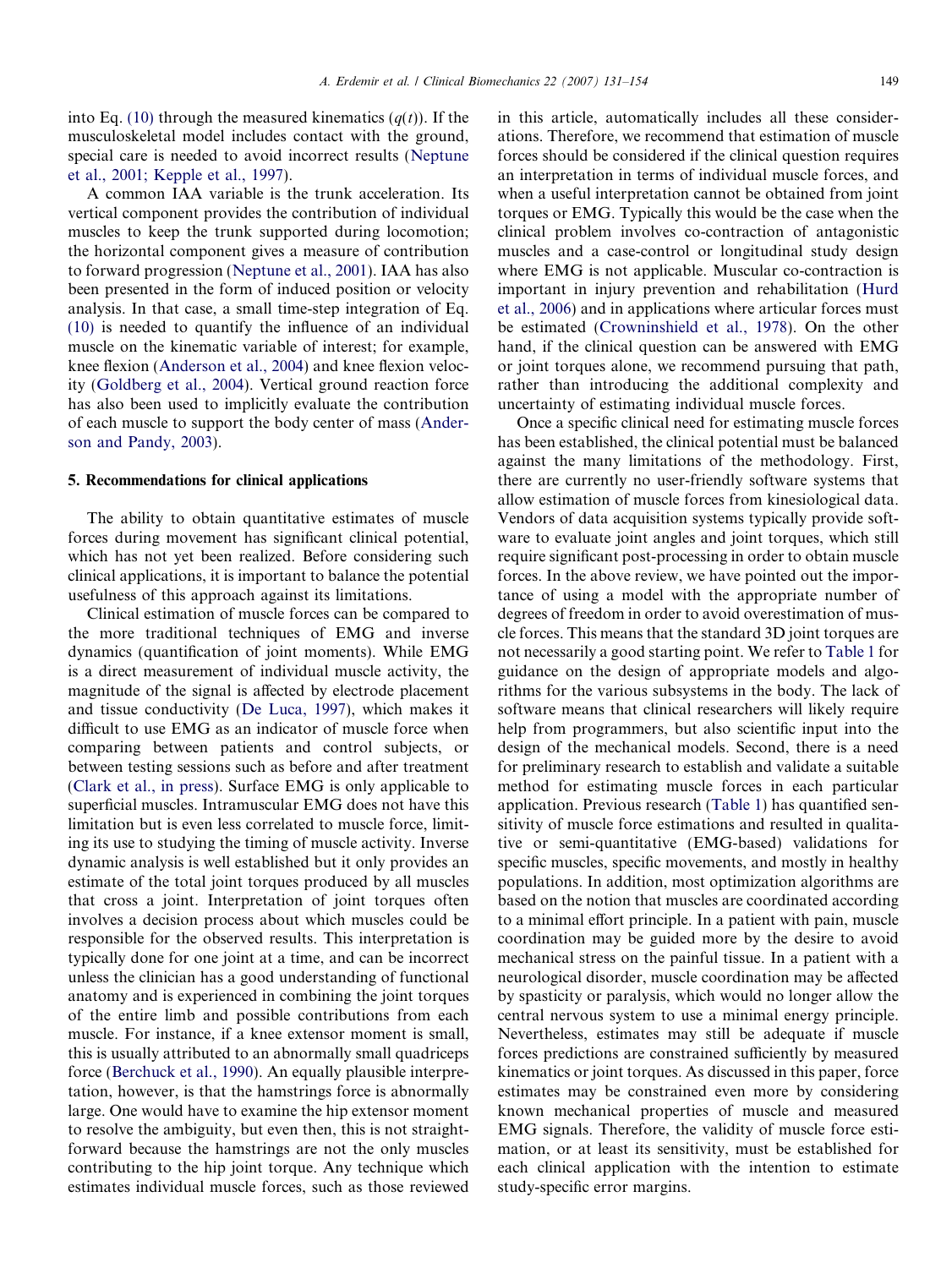into Eq. [\(10\)](#page-17-0) through the measured kinematics  $(q(t))$ . If the musculoskeletal model includes contact with the ground, special care is needed to avoid incorrect results ([Neptune](#page-21-0) [et al., 2001; Kepple et al., 1997](#page-21-0)).

A common IAA variable is the trunk acceleration. Its vertical component provides the contribution of individual muscles to keep the trunk supported during locomotion; the horizontal component gives a measure of contribution to forward progression [\(Neptune et al., 2001\)](#page-21-0). IAA has also been presented in the form of induced position or velocity analysis. In that case, a small time-step integration of Eq. [\(10\)](#page-17-0) is needed to quantify the influence of an individual muscle on the kinematic variable of interest; for example, knee flexion [\(Anderson et al., 2004](#page-19-0)) and knee flexion velocity [\(Goldberg et al., 2004\)](#page-20-0). Vertical ground reaction force has also been used to implicitly evaluate the contribution of each muscle to support the body center of mass [\(Ander](#page-19-0)[son and Pandy, 2003](#page-19-0)).

#### 5. Recommendations for clinical applications

The ability to obtain quantitative estimates of muscle forces during movement has significant clinical potential, which has not yet been realized. Before considering such clinical applications, it is important to balance the potential usefulness of this approach against its limitations.

Clinical estimation of muscle forces can be compared to the more traditional techniques of EMG and inverse dynamics (quantification of joint moments). While EMG is a direct measurement of individual muscle activity, the magnitude of the signal is affected by electrode placement and tissue conductivity [\(De Luca, 1997](#page-20-0)), which makes it difficult to use EMG as an indicator of muscle force when comparing between patients and control subjects, or between testing sessions such as before and after treatment ([Clark et al., in press\)](#page-20-0). Surface EMG is only applicable to superficial muscles. Intramuscular EMG does not have this limitation but is even less correlated to muscle force, limiting its use to studying the timing of muscle activity. Inverse dynamic analysis is well established but it only provides an estimate of the total joint torques produced by all muscles that cross a joint. Interpretation of joint torques often involves a decision process about which muscles could be responsible for the observed results. This interpretation is typically done for one joint at a time, and can be incorrect unless the clinician has a good understanding of functional anatomy and is experienced in combining the joint torques of the entire limb and possible contributions from each muscle. For instance, if a knee extensor moment is small, this is usually attributed to an abnormally small quadriceps force ([Berchuck et al., 1990\)](#page-19-0). An equally plausible interpretation, however, is that the hamstrings force is abnormally large. One would have to examine the hip extensor moment to resolve the ambiguity, but even then, this is not straightforward because the hamstrings are not the only muscles contributing to the hip joint torque. Any technique which estimates individual muscle forces, such as those reviewed in this article, automatically includes all these considerations. Therefore, we recommend that estimation of muscle forces should be considered if the clinical question requires an interpretation in terms of individual muscle forces, and when a useful interpretation cannot be obtained from joint torques or EMG. Typically this would be the case when the clinical problem involves co-contraction of antagonistic muscles and a case-control or longitudinal study design where EMG is not applicable. Muscular co-contraction is important in injury prevention and rehabilitation [\(Hurd](#page-21-0) [et al., 2006](#page-21-0)) and in applications where articular forces must be estimated [\(Crowninshield et al., 1978\)](#page-20-0). On the other hand, if the clinical question can be answered with EMG or joint torques alone, we recommend pursuing that path, rather than introducing the additional complexity and uncertainty of estimating individual muscle forces.

Once a specific clinical need for estimating muscle forces has been established, the clinical potential must be balanced against the many limitations of the methodology. First, there are currently no user-friendly software systems that allow estimation of muscle forces from kinesiological data. Vendors of data acquisition systems typically provide software to evaluate joint angles and joint torques, which still require significant post-processing in order to obtain muscle forces. In the above review, we have pointed out the importance of using a model with the appropriate number of degrees of freedom in order to avoid overestimation of muscle forces. This means that the standard 3D joint torques are not necessarily a good starting point. We refer to [Table 1](#page-5-0) for guidance on the design of appropriate models and algorithms for the various subsystems in the body. The lack of software means that clinical researchers will likely require help from programmers, but also scientific input into the design of the mechanical models. Second, there is a need for preliminary research to establish and validate a suitable method for estimating muscle forces in each particular application. Previous research [\(Table 1](#page-5-0)) has quantified sensitivity of muscle force estimations and resulted in qualitative or semi-quantitative (EMG-based) validations for specific muscles, specific movements, and mostly in healthy populations. In addition, most optimization algorithms are based on the notion that muscles are coordinated according to a minimal effort principle. In a patient with pain, muscle coordination may be guided more by the desire to avoid mechanical stress on the painful tissue. In a patient with a neurological disorder, muscle coordination may be affected by spasticity or paralysis, which would no longer allow the central nervous system to use a minimal energy principle. Nevertheless, estimates may still be adequate if muscle forces predictions are constrained sufficiently by measured kinematics or joint torques. As discussed in this paper, force estimates may be constrained even more by considering known mechanical properties of muscle and measured EMG signals. Therefore, the validity of muscle force estimation, or at least its sensitivity, must be established for each clinical application with the intention to estimate study-specific error margins.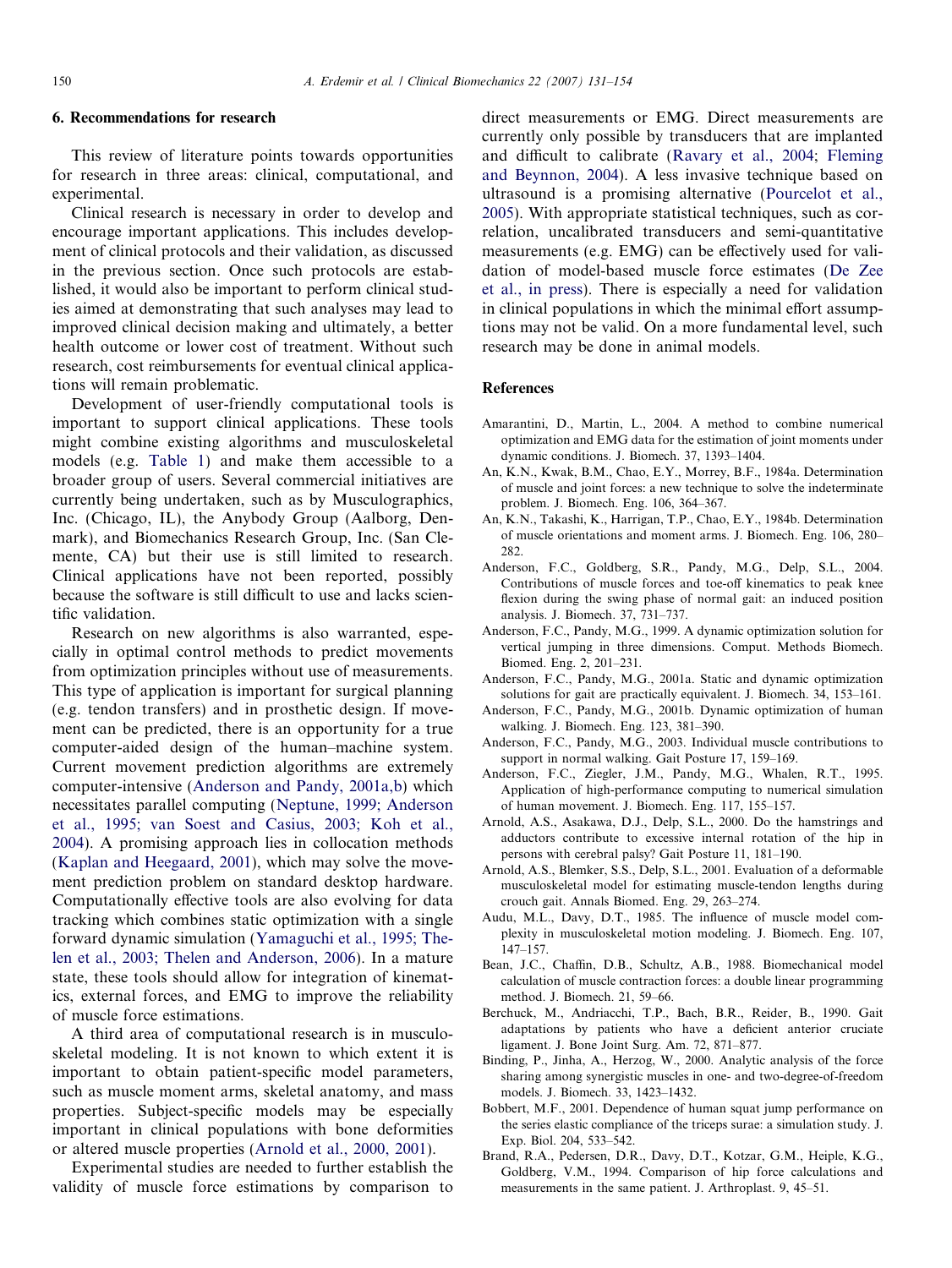## <span id="page-19-0"></span>6. Recommendations for research

This review of literature points towards opportunities for research in three areas: clinical, computational, and experimental.

Clinical research is necessary in order to develop and encourage important applications. This includes development of clinical protocols and their validation, as discussed in the previous section. Once such protocols are established, it would also be important to perform clinical studies aimed at demonstrating that such analyses may lead to improved clinical decision making and ultimately, a better health outcome or lower cost of treatment. Without such research, cost reimbursements for eventual clinical applications will remain problematic.

Development of user-friendly computational tools is important to support clinical applications. These tools might combine existing algorithms and musculoskeletal models (e.g. [Table 1](#page-5-0)) and make them accessible to a broader group of users. Several commercial initiatives are currently being undertaken, such as by Musculographics, Inc. (Chicago, IL), the Anybody Group (Aalborg, Denmark), and Biomechanics Research Group, Inc. (San Clemente, CA) but their use is still limited to research. Clinical applications have not been reported, possibly because the software is still difficult to use and lacks scientific validation.

Research on new algorithms is also warranted, especially in optimal control methods to predict movements from optimization principles without use of measurements. This type of application is important for surgical planning (e.g. tendon transfers) and in prosthetic design. If movement can be predicted, there is an opportunity for a true computer-aided design of the human–machine system. Current movement prediction algorithms are extremely computer-intensive (Anderson and Pandy, 2001a,b) which necessitates parallel computing ([Neptune, 1999; Anderson](#page-21-0) [et al., 1995; van Soest and Casius, 2003; Koh et al.,](#page-21-0) [2004\)](#page-21-0). A promising approach lies in collocation methods [\(Kaplan and Heegaard, 2001](#page-21-0)), which may solve the movement prediction problem on standard desktop hardware. Computationally effective tools are also evolving for data tracking which combines static optimization with a single forward dynamic simulation [\(Yamaguchi et al., 1995; The](#page-22-0)[len et al., 2003; Thelen and Anderson, 2006\)](#page-22-0). In a mature state, these tools should allow for integration of kinematics, external forces, and EMG to improve the reliability of muscle force estimations.

A third area of computational research is in musculoskeletal modeling. It is not known to which extent it is important to obtain patient-specific model parameters, such as muscle moment arms, skeletal anatomy, and mass properties. Subject-specific models may be especially important in clinical populations with bone deformities or altered muscle properties (Arnold et al., 2000, 2001).

Experimental studies are needed to further establish the validity of muscle force estimations by comparison to

direct measurements or EMG. Direct measurements are currently only possible by transducers that are implanted and difficult to calibrate ([Ravary et al., 2004](#page-22-0); [Fleming](#page-20-0) [and Beynnon, 2004](#page-20-0)). A less invasive technique based on ultrasound is a promising alternative [\(Pourcelot et al.,](#page-22-0) [2005\)](#page-22-0). With appropriate statistical techniques, such as correlation, uncalibrated transducers and semi-quantitative measurements (e.g. EMG) can be effectively used for validation of model-based muscle force estimates [\(De Zee](#page-20-0) [et al., in press\)](#page-20-0). There is especially a need for validation in clinical populations in which the minimal effort assumptions may not be valid. On a more fundamental level, such research may be done in animal models.

## References

- Amarantini, D., Martin, L., 2004. A method to combine numerical optimization and EMG data for the estimation of joint moments under dynamic conditions. J. Biomech. 37, 1393–1404.
- An, K.N., Kwak, B.M., Chao, E.Y., Morrey, B.F., 1984a. Determination of muscle and joint forces: a new technique to solve the indeterminate problem. J. Biomech. Eng. 106, 364–367.
- An, K.N., Takashi, K., Harrigan, T.P., Chao, E.Y., 1984b. Determination of muscle orientations and moment arms. J. Biomech. Eng. 106, 280– 282.
- Anderson, F.C., Goldberg, S.R., Pandy, M.G., Delp, S.L., 2004. Contributions of muscle forces and toe-off kinematics to peak knee flexion during the swing phase of normal gait: an induced position analysis. J. Biomech. 37, 731–737.
- Anderson, F.C., Pandy, M.G., 1999. A dynamic optimization solution for vertical jumping in three dimensions. Comput. Methods Biomech. Biomed. Eng. 2, 201–231.
- Anderson, F.C., Pandy, M.G., 2001a. Static and dynamic optimization solutions for gait are practically equivalent. J. Biomech. 34, 153–161.
- Anderson, F.C., Pandy, M.G., 2001b. Dynamic optimization of human walking. J. Biomech. Eng. 123, 381–390.
- Anderson, F.C., Pandy, M.G., 2003. Individual muscle contributions to support in normal walking. Gait Posture 17, 159–169.
- Anderson, F.C., Ziegler, J.M., Pandy, M.G., Whalen, R.T., 1995. Application of high-performance computing to numerical simulation of human movement. J. Biomech. Eng. 117, 155–157.
- Arnold, A.S., Asakawa, D.J., Delp, S.L., 2000. Do the hamstrings and adductors contribute to excessive internal rotation of the hip in persons with cerebral palsy? Gait Posture 11, 181–190.
- Arnold, A.S., Blemker, S.S., Delp, S.L., 2001. Evaluation of a deformable musculoskeletal model for estimating muscle-tendon lengths during crouch gait. Annals Biomed. Eng. 29, 263–274.
- Audu, M.L., Davy, D.T., 1985. The influence of muscle model complexity in musculoskeletal motion modeling. J. Biomech. Eng. 107, 147–157.
- Bean, J.C., Chaffin, D.B., Schultz, A.B., 1988. Biomechanical model calculation of muscle contraction forces: a double linear programming method. J. Biomech. 21, 59–66.
- Berchuck, M., Andriacchi, T.P., Bach, B.R., Reider, B., 1990. Gait adaptations by patients who have a deficient anterior cruciate ligament. J. Bone Joint Surg. Am. 72, 871–877.
- Binding, P., Jinha, A., Herzog, W., 2000. Analytic analysis of the force sharing among synergistic muscles in one- and two-degree-of-freedom models. J. Biomech. 33, 1423–1432.
- Bobbert, M.F., 2001. Dependence of human squat jump performance on the series elastic compliance of the triceps surae: a simulation study. J. Exp. Biol. 204, 533–542.
- Brand, R.A., Pedersen, D.R., Davy, D.T., Kotzar, G.M., Heiple, K.G., Goldberg, V.M., 1994. Comparison of hip force calculations and measurements in the same patient. J. Arthroplast. 9, 45–51.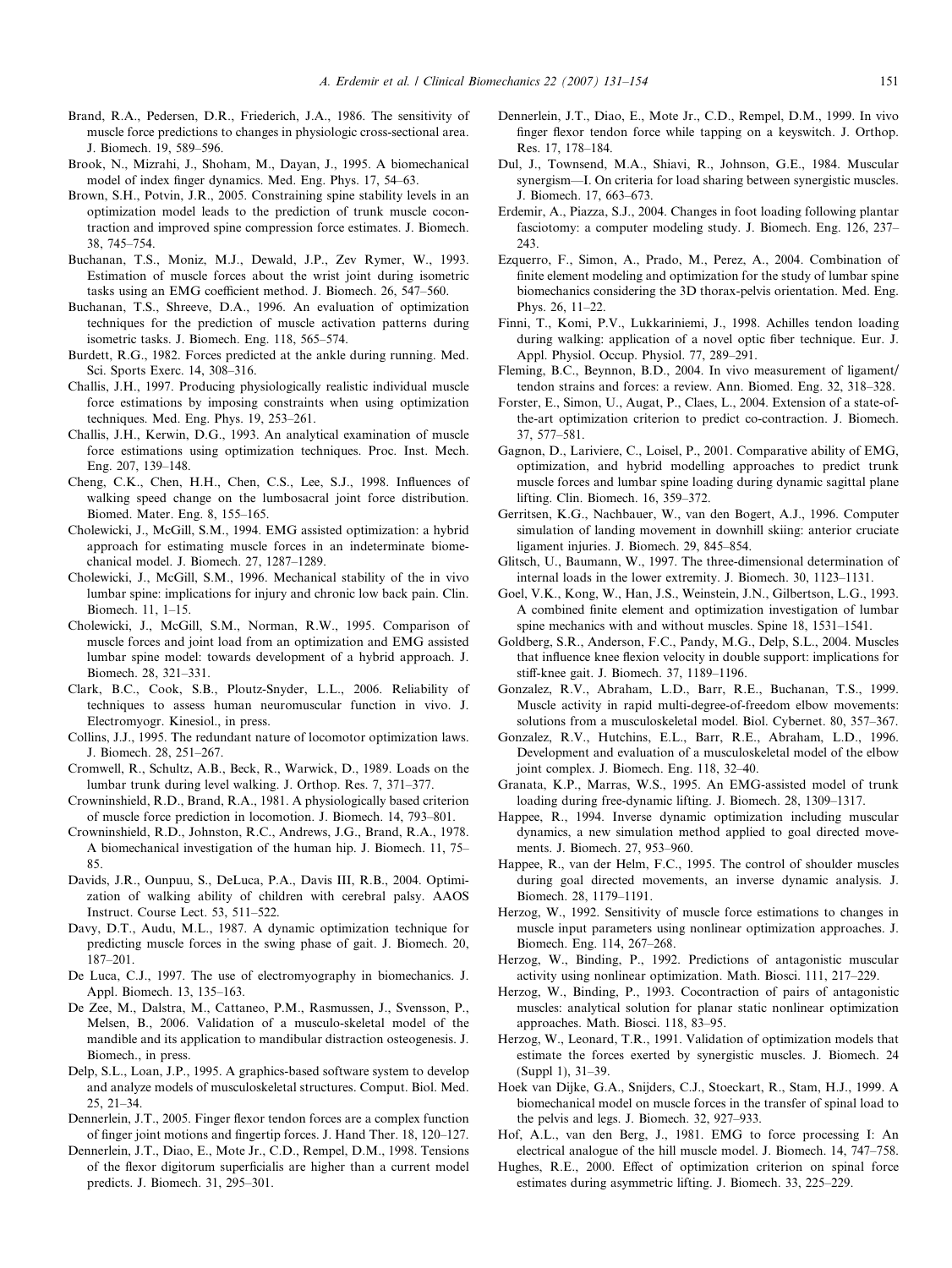- <span id="page-20-0"></span>Brand, R.A., Pedersen, D.R., Friederich, J.A., 1986. The sensitivity of muscle force predictions to changes in physiologic cross-sectional area. J. Biomech. 19, 589–596.
- Brook, N., Mizrahi, J., Shoham, M., Dayan, J., 1995. A biomechanical model of index finger dynamics. Med. Eng. Phys. 17, 54–63.
- Brown, S.H., Potvin, J.R., 2005. Constraining spine stability levels in an optimization model leads to the prediction of trunk muscle cocontraction and improved spine compression force estimates. J. Biomech. 38, 745–754.
- Buchanan, T.S., Moniz, M.J., Dewald, J.P., Zev Rymer, W., 1993. Estimation of muscle forces about the wrist joint during isometric tasks using an EMG coefficient method. J. Biomech. 26, 547–560.
- Buchanan, T.S., Shreeve, D.A., 1996. An evaluation of optimization techniques for the prediction of muscle activation patterns during isometric tasks. J. Biomech. Eng. 118, 565–574.
- Burdett, R.G., 1982. Forces predicted at the ankle during running. Med. Sci. Sports Exerc. 14, 308–316.
- Challis, J.H., 1997. Producing physiologically realistic individual muscle force estimations by imposing constraints when using optimization techniques. Med. Eng. Phys. 19, 253–261.
- Challis, J.H., Kerwin, D.G., 1993. An analytical examination of muscle force estimations using optimization techniques. Proc. Inst. Mech. Eng. 207, 139–148.
- Cheng, C.K., Chen, H.H., Chen, C.S., Lee, S.J., 1998. Influences of walking speed change on the lumbosacral joint force distribution. Biomed. Mater. Eng. 8, 155–165.
- Cholewicki, J., McGill, S.M., 1994. EMG assisted optimization: a hybrid approach for estimating muscle forces in an indeterminate biomechanical model. J. Biomech. 27, 1287–1289.
- Cholewicki, J., McGill, S.M., 1996. Mechanical stability of the in vivo lumbar spine: implications for injury and chronic low back pain. Clin. Biomech. 11, 1–15.
- Cholewicki, J., McGill, S.M., Norman, R.W., 1995. Comparison of muscle forces and joint load from an optimization and EMG assisted lumbar spine model: towards development of a hybrid approach. J. Biomech. 28, 321–331.
- Clark, B.C., Cook, S.B., Ploutz-Snyder, L.L., 2006. Reliability of techniques to assess human neuromuscular function in vivo. J. Electromyogr. Kinesiol., in press.
- Collins, J.J., 1995. The redundant nature of locomotor optimization laws. J. Biomech. 28, 251–267.
- Cromwell, R., Schultz, A.B., Beck, R., Warwick, D., 1989. Loads on the lumbar trunk during level walking. J. Orthop. Res. 7, 371–377.
- Crowninshield, R.D., Brand, R.A., 1981. A physiologically based criterion of muscle force prediction in locomotion. J. Biomech. 14, 793–801.
- Crowninshield, R.D., Johnston, R.C., Andrews, J.G., Brand, R.A., 1978. A biomechanical investigation of the human hip. J. Biomech. 11, 75– 85.
- Davids, J.R., Ounpuu, S., DeLuca, P.A., Davis III, R.B., 2004. Optimization of walking ability of children with cerebral palsy. AAOS Instruct. Course Lect. 53, 511–522.
- Davy, D.T., Audu, M.L., 1987. A dynamic optimization technique for predicting muscle forces in the swing phase of gait. J. Biomech. 20, 187–201.
- De Luca, C.J., 1997. The use of electromyography in biomechanics. J. Appl. Biomech. 13, 135–163.
- De Zee, M., Dalstra, M., Cattaneo, P.M., Rasmussen, J., Svensson, P., Melsen, B., 2006. Validation of a musculo-skeletal model of the mandible and its application to mandibular distraction osteogenesis. J. Biomech., in press.
- Delp, S.L., Loan, J.P., 1995. A graphics-based software system to develop and analyze models of musculoskeletal structures. Comput. Biol. Med. 25, 21–34.
- Dennerlein, J.T., 2005. Finger flexor tendon forces are a complex function of finger joint motions and fingertip forces. J. Hand Ther. 18, 120–127.
- Dennerlein, J.T., Diao, E., Mote Jr., C.D., Rempel, D.M., 1998. Tensions of the flexor digitorum superficialis are higher than a current model predicts. J. Biomech. 31, 295–301.
- Dennerlein, J.T., Diao, E., Mote Jr., C.D., Rempel, D.M., 1999. In vivo finger flexor tendon force while tapping on a keyswitch. J. Orthop. Res. 17, 178–184.
- Dul, J., Townsend, M.A., Shiavi, R., Johnson, G.E., 1984. Muscular synergism—I. On criteria for load sharing between synergistic muscles. J. Biomech. 17, 663–673.
- Erdemir, A., Piazza, S.J., 2004. Changes in foot loading following plantar fasciotomy: a computer modeling study. J. Biomech. Eng. 126, 237– 243.
- Ezquerro, F., Simon, A., Prado, M., Perez, A., 2004. Combination of finite element modeling and optimization for the study of lumbar spine biomechanics considering the 3D thorax-pelvis orientation. Med. Eng. Phys. 26, 11–22.
- Finni, T., Komi, P.V., Lukkariniemi, J., 1998. Achilles tendon loading during walking: application of a novel optic fiber technique. Eur. J. Appl. Physiol. Occup. Physiol. 77, 289–291.
- Fleming, B.C., Beynnon, B.D., 2004. In vivo measurement of ligament/ tendon strains and forces: a review. Ann. Biomed. Eng. 32, 318–328.
- Forster, E., Simon, U., Augat, P., Claes, L., 2004. Extension of a state-ofthe-art optimization criterion to predict co-contraction. J. Biomech. 37, 577–581.
- Gagnon, D., Lariviere, C., Loisel, P., 2001. Comparative ability of EMG, optimization, and hybrid modelling approaches to predict trunk muscle forces and lumbar spine loading during dynamic sagittal plane lifting. Clin. Biomech. 16, 359–372.
- Gerritsen, K.G., Nachbauer, W., van den Bogert, A.J., 1996. Computer simulation of landing movement in downhill skiing: anterior cruciate ligament injuries. J. Biomech. 29, 845–854.
- Glitsch, U., Baumann, W., 1997. The three-dimensional determination of internal loads in the lower extremity. J. Biomech. 30, 1123–1131.
- Goel, V.K., Kong, W., Han, J.S., Weinstein, J.N., Gilbertson, L.G., 1993. A combined finite element and optimization investigation of lumbar spine mechanics with and without muscles. Spine 18, 1531–1541.
- Goldberg, S.R., Anderson, F.C., Pandy, M.G., Delp, S.L., 2004. Muscles that influence knee flexion velocity in double support: implications for stiff-knee gait. J. Biomech. 37, 1189–1196.
- Gonzalez, R.V., Abraham, L.D., Barr, R.E., Buchanan, T.S., 1999. Muscle activity in rapid multi-degree-of-freedom elbow movements: solutions from a musculoskeletal model. Biol. Cybernet. 80, 357–367.
- Gonzalez, R.V., Hutchins, E.L., Barr, R.E., Abraham, L.D., 1996. Development and evaluation of a musculoskeletal model of the elbow joint complex. J. Biomech. Eng. 118, 32–40.
- Granata, K.P., Marras, W.S., 1995. An EMG-assisted model of trunk loading during free-dynamic lifting. J. Biomech. 28, 1309–1317.
- Happee, R., 1994. Inverse dynamic optimization including muscular dynamics, a new simulation method applied to goal directed movements. J. Biomech. 27, 953–960.
- Happee, R., van der Helm, F.C., 1995. The control of shoulder muscles during goal directed movements, an inverse dynamic analysis. J. Biomech. 28, 1179–1191.
- Herzog, W., 1992. Sensitivity of muscle force estimations to changes in muscle input parameters using nonlinear optimization approaches. J. Biomech. Eng. 114, 267–268.
- Herzog, W., Binding, P., 1992. Predictions of antagonistic muscular activity using nonlinear optimization. Math. Biosci. 111, 217–229.
- Herzog, W., Binding, P., 1993. Cocontraction of pairs of antagonistic muscles: analytical solution for planar static nonlinear optimization approaches. Math. Biosci. 118, 83–95.
- Herzog, W., Leonard, T.R., 1991. Validation of optimization models that estimate the forces exerted by synergistic muscles. J. Biomech. 24 (Suppl 1), 31–39.
- Hoek van Dijke, G.A., Snijders, C.J., Stoeckart, R., Stam, H.J., 1999. A biomechanical model on muscle forces in the transfer of spinal load to the pelvis and legs. J. Biomech. 32, 927–933.
- Hof, A.L., van den Berg, J., 1981. EMG to force processing I: An electrical analogue of the hill muscle model. J. Biomech. 14, 747–758.
- Hughes, R.E., 2000. Effect of optimization criterion on spinal force estimates during asymmetric lifting. J. Biomech. 33, 225–229.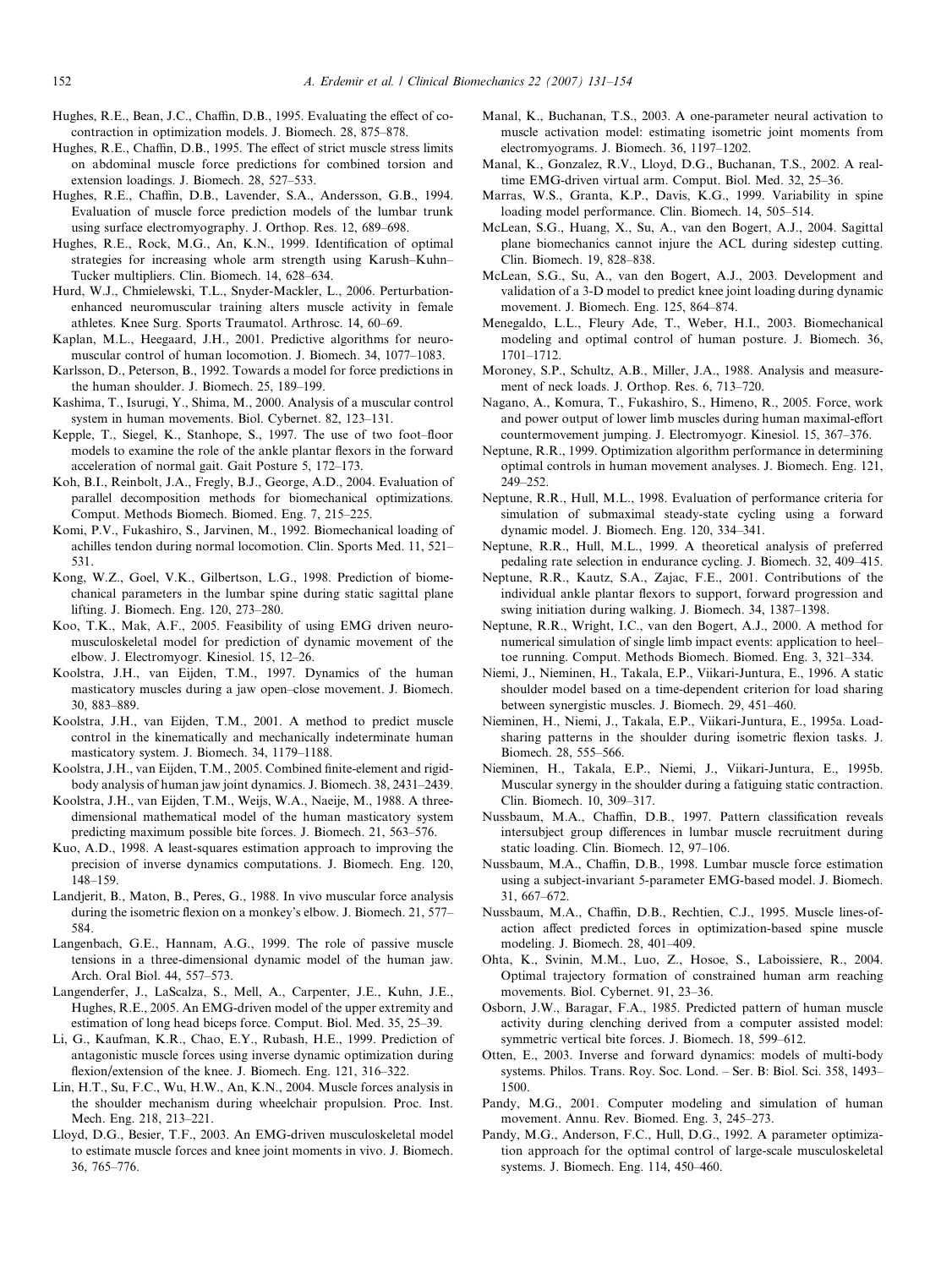- <span id="page-21-0"></span>Hughes, R.E., Bean, J.C., Chaffin, D.B., 1995. Evaluating the effect of cocontraction in optimization models. J. Biomech. 28, 875–878.
- Hughes, R.E., Chaffin, D.B., 1995. The effect of strict muscle stress limits on abdominal muscle force predictions for combined torsion and extension loadings. J. Biomech. 28, 527–533.
- Hughes, R.E., Chaffin, D.B., Lavender, S.A., Andersson, G.B., 1994. Evaluation of muscle force prediction models of the lumbar trunk using surface electromyography. J. Orthop. Res. 12, 689–698.
- Hughes, R.E., Rock, M.G., An, K.N., 1999. Identification of optimal strategies for increasing whole arm strength using Karush–Kuhn– Tucker multipliers. Clin. Biomech. 14, 628–634.
- Hurd, W.J., Chmielewski, T.L., Snyder-Mackler, L., 2006. Perturbationenhanced neuromuscular training alters muscle activity in female athletes. Knee Surg. Sports Traumatol. Arthrosc. 14, 60–69.
- Kaplan, M.L., Heegaard, J.H., 2001. Predictive algorithms for neuromuscular control of human locomotion. J. Biomech. 34, 1077–1083.
- Karlsson, D., Peterson, B., 1992. Towards a model for force predictions in the human shoulder. J. Biomech. 25, 189–199.
- Kashima, T., Isurugi, Y., Shima, M., 2000. Analysis of a muscular control system in human movements. Biol. Cybernet. 82, 123–131.
- Kepple, T., Siegel, K., Stanhope, S., 1997. The use of two foot–floor models to examine the role of the ankle plantar flexors in the forward acceleration of normal gait. Gait Posture 5, 172–173.
- Koh, B.I., Reinbolt, J.A., Fregly, B.J., George, A.D., 2004. Evaluation of parallel decomposition methods for biomechanical optimizations. Comput. Methods Biomech. Biomed. Eng. 7, 215–225.
- Komi, P.V., Fukashiro, S., Jarvinen, M., 1992. Biomechanical loading of achilles tendon during normal locomotion. Clin. Sports Med. 11, 521– 531.
- Kong, W.Z., Goel, V.K., Gilbertson, L.G., 1998. Prediction of biomechanical parameters in the lumbar spine during static sagittal plane lifting. J. Biomech. Eng. 120, 273–280.
- Koo, T.K., Mak, A.F., 2005. Feasibility of using EMG driven neuromusculoskeletal model for prediction of dynamic movement of the elbow. J. Electromyogr. Kinesiol. 15, 12–26.
- Koolstra, J.H., van Eijden, T.M., 1997. Dynamics of the human masticatory muscles during a jaw open–close movement. J. Biomech. 30, 883–889.
- Koolstra, J.H., van Eijden, T.M., 2001. A method to predict muscle control in the kinematically and mechanically indeterminate human masticatory system. J. Biomech. 34, 1179–1188.
- Koolstra, J.H., van Eijden, T.M., 2005. Combined finite-element and rigidbody analysis of human jaw joint dynamics. J. Biomech. 38, 2431–2439.
- Koolstra, J.H., van Eijden, T.M., Weijs, W.A., Naeije, M., 1988. A threedimensional mathematical model of the human masticatory system predicting maximum possible bite forces. J. Biomech. 21, 563–576.
- Kuo, A.D., 1998. A least-squares estimation approach to improving the precision of inverse dynamics computations. J. Biomech. Eng. 120, 148–159.
- Landjerit, B., Maton, B., Peres, G., 1988. In vivo muscular force analysis during the isometric flexion on a monkey's elbow. J. Biomech. 21, 577– 584.
- Langenbach, G.E., Hannam, A.G., 1999. The role of passive muscle tensions in a three-dimensional dynamic model of the human jaw. Arch. Oral Biol. 44, 557–573.
- Langenderfer, J., LaScalza, S., Mell, A., Carpenter, J.E., Kuhn, J.E., Hughes, R.E., 2005. An EMG-driven model of the upper extremity and estimation of long head biceps force. Comput. Biol. Med. 35, 25–39.
- Li, G., Kaufman, K.R., Chao, E.Y., Rubash, H.E., 1999. Prediction of antagonistic muscle forces using inverse dynamic optimization during flexion/extension of the knee. J. Biomech. Eng. 121, 316–322.
- Lin, H.T., Su, F.C., Wu, H.W., An, K.N., 2004. Muscle forces analysis in the shoulder mechanism during wheelchair propulsion. Proc. Inst. Mech. Eng. 218, 213–221.
- Lloyd, D.G., Besier, T.F., 2003. An EMG-driven musculoskeletal model to estimate muscle forces and knee joint moments in vivo. J. Biomech. 36, 765–776.
- Manal, K., Buchanan, T.S., 2003. A one-parameter neural activation to muscle activation model: estimating isometric joint moments from electromyograms. J. Biomech. 36, 1197–1202.
- Manal, K., Gonzalez, R.V., Lloyd, D.G., Buchanan, T.S., 2002. A realtime EMG-driven virtual arm. Comput. Biol. Med. 32, 25–36.
- Marras, W.S., Granta, K.P., Davis, K.G., 1999. Variability in spine loading model performance. Clin. Biomech. 14, 505–514.
- McLean, S.G., Huang, X., Su, A., van den Bogert, A.J., 2004. Sagittal plane biomechanics cannot injure the ACL during sidestep cutting. Clin. Biomech. 19, 828–838.
- McLean, S.G., Su, A., van den Bogert, A.J., 2003. Development and validation of a 3-D model to predict knee joint loading during dynamic movement. J. Biomech. Eng. 125, 864–874.
- Menegaldo, L.L., Fleury Ade, T., Weber, H.I., 2003. Biomechanical modeling and optimal control of human posture. J. Biomech. 36, 1701–1712.
- Moroney, S.P., Schultz, A.B., Miller, J.A., 1988. Analysis and measurement of neck loads. J. Orthop. Res. 6, 713–720.
- Nagano, A., Komura, T., Fukashiro, S., Himeno, R., 2005. Force, work and power output of lower limb muscles during human maximal-effort countermovement jumping. J. Electromyogr. Kinesiol. 15, 367–376.
- Neptune, R.R., 1999. Optimization algorithm performance in determining optimal controls in human movement analyses. J. Biomech. Eng. 121, 249–252.
- Neptune, R.R., Hull, M.L., 1998. Evaluation of performance criteria for simulation of submaximal steady-state cycling using a forward dynamic model. J. Biomech. Eng. 120, 334–341.
- Neptune, R.R., Hull, M.L., 1999. A theoretical analysis of preferred pedaling rate selection in endurance cycling. J. Biomech. 32, 409–415.
- Neptune, R.R., Kautz, S.A., Zajac, F.E., 2001. Contributions of the individual ankle plantar flexors to support, forward progression and swing initiation during walking. J. Biomech. 34, 1387–1398.
- Neptune, R.R., Wright, I.C., van den Bogert, A.J., 2000. A method for numerical simulation of single limb impact events: application to heel– toe running. Comput. Methods Biomech. Biomed. Eng. 3, 321–334.
- Niemi, J., Nieminen, H., Takala, E.P., Viikari-Juntura, E., 1996. A static shoulder model based on a time-dependent criterion for load sharing between synergistic muscles. J. Biomech. 29, 451–460.
- Nieminen, H., Niemi, J., Takala, E.P., Viikari-Juntura, E., 1995a. Loadsharing patterns in the shoulder during isometric flexion tasks. J. Biomech. 28, 555–566.
- Nieminen, H., Takala, E.P., Niemi, J., Viikari-Juntura, E., 1995b. Muscular synergy in the shoulder during a fatiguing static contraction. Clin. Biomech. 10, 309–317.
- Nussbaum, M.A., Chaffin, D.B., 1997. Pattern classification reveals intersubject group differences in lumbar muscle recruitment during static loading. Clin. Biomech. 12, 97–106.
- Nussbaum, M.A., Chaffin, D.B., 1998. Lumbar muscle force estimation using a subject-invariant 5-parameter EMG-based model. J. Biomech. 31, 667–672.
- Nussbaum, M.A., Chaffin, D.B., Rechtien, C.J., 1995. Muscle lines-ofaction affect predicted forces in optimization-based spine muscle modeling. J. Biomech. 28, 401–409.
- Ohta, K., Svinin, M.M., Luo, Z., Hosoe, S., Laboissiere, R., 2004. Optimal trajectory formation of constrained human arm reaching movements. Biol. Cybernet. 91, 23–36.
- Osborn, J.W., Baragar, F.A., 1985. Predicted pattern of human muscle activity during clenching derived from a computer assisted model: symmetric vertical bite forces. J. Biomech. 18, 599–612.
- Otten, E., 2003. Inverse and forward dynamics: models of multi-body systems. Philos. Trans. Roy. Soc. Lond. – Ser. B: Biol. Sci. 358, 1493– 1500.
- Pandy, M.G., 2001. Computer modeling and simulation of human movement. Annu. Rev. Biomed. Eng. 3, 245–273.
- Pandy, M.G., Anderson, F.C., Hull, D.G., 1992. A parameter optimization approach for the optimal control of large-scale musculoskeletal systems. J. Biomech. Eng. 114, 450–460.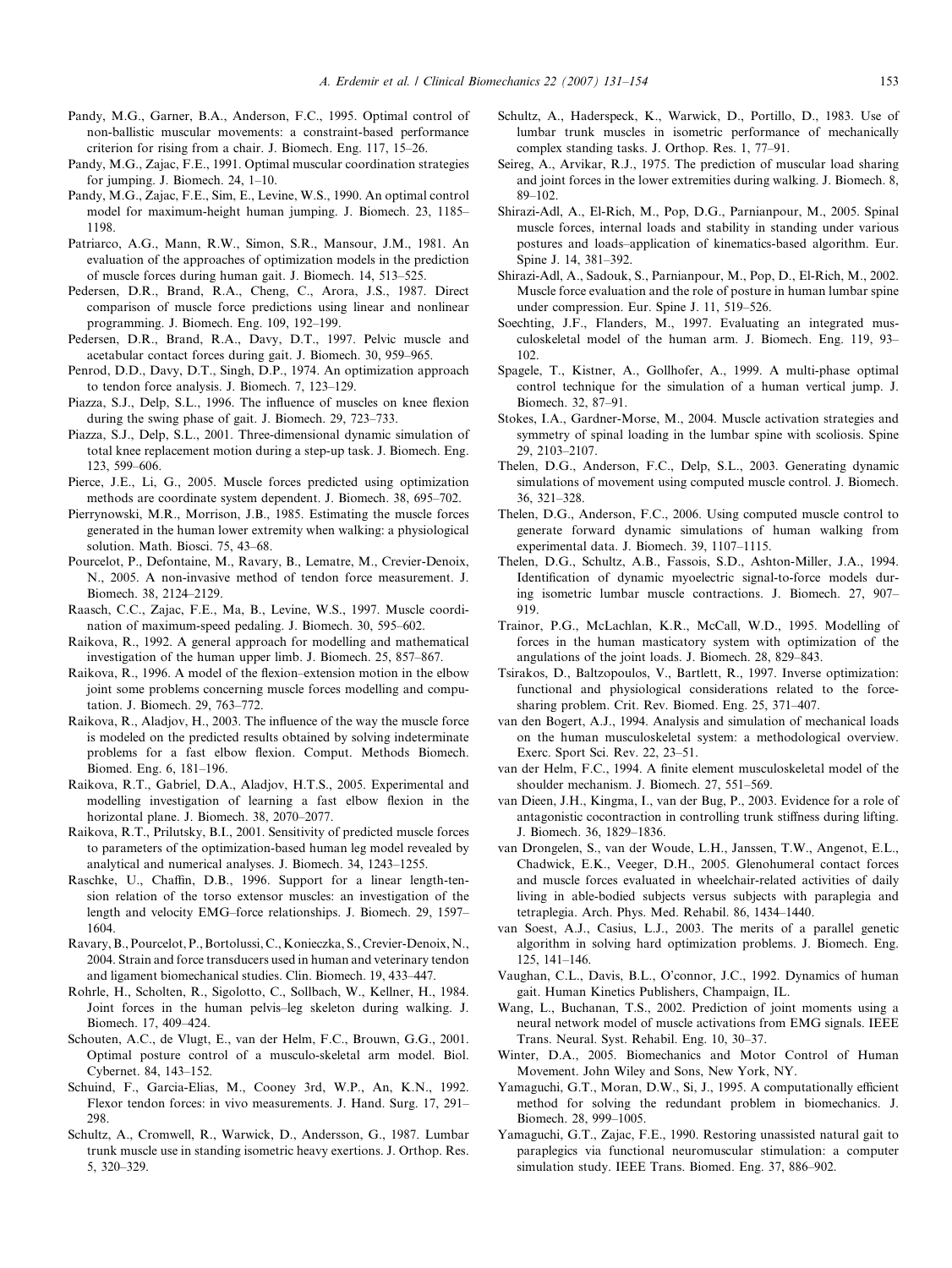- <span id="page-22-0"></span>Pandy, M.G., Garner, B.A., Anderson, F.C., 1995. Optimal control of non-ballistic muscular movements: a constraint-based performance criterion for rising from a chair. J. Biomech. Eng. 117, 15–26.
- Pandy, M.G., Zajac, F.E., 1991. Optimal muscular coordination strategies for jumping. J. Biomech. 24, 1–10.
- Pandy, M.G., Zajac, F.E., Sim, E., Levine, W.S., 1990. An optimal control model for maximum-height human jumping. J. Biomech. 23, 1185– 1198.
- Patriarco, A.G., Mann, R.W., Simon, S.R., Mansour, J.M., 1981. An evaluation of the approaches of optimization models in the prediction of muscle forces during human gait. J. Biomech. 14, 513–525.
- Pedersen, D.R., Brand, R.A., Cheng, C., Arora, J.S., 1987. Direct comparison of muscle force predictions using linear and nonlinear programming. J. Biomech. Eng. 109, 192–199.
- Pedersen, D.R., Brand, R.A., Davy, D.T., 1997. Pelvic muscle and acetabular contact forces during gait. J. Biomech. 30, 959–965.
- Penrod, D.D., Davy, D.T., Singh, D.P., 1974. An optimization approach to tendon force analysis. J. Biomech. 7, 123–129.
- Piazza, S.J., Delp, S.L., 1996. The influence of muscles on knee flexion during the swing phase of gait. J. Biomech. 29, 723–733.
- Piazza, S.J., Delp, S.L., 2001. Three-dimensional dynamic simulation of total knee replacement motion during a step-up task. J. Biomech. Eng. 123, 599–606.
- Pierce, J.E., Li, G., 2005. Muscle forces predicted using optimization methods are coordinate system dependent. J. Biomech. 38, 695–702.
- Pierrynowski, M.R., Morrison, J.B., 1985. Estimating the muscle forces generated in the human lower extremity when walking: a physiological solution. Math. Biosci. 75, 43–68.
- Pourcelot, P., Defontaine, M., Ravary, B., Lematre, M., Crevier-Denoix, N., 2005. A non-invasive method of tendon force measurement. J. Biomech. 38, 2124–2129.
- Raasch, C.C., Zajac, F.E., Ma, B., Levine, W.S., 1997. Muscle coordination of maximum-speed pedaling. J. Biomech. 30, 595–602.
- Raikova, R., 1992. A general approach for modelling and mathematical investigation of the human upper limb. J. Biomech. 25, 857–867.
- Raikova, R., 1996. A model of the flexion–extension motion in the elbow joint some problems concerning muscle forces modelling and computation. J. Biomech. 29, 763–772.
- Raikova, R., Aladjov, H., 2003. The influence of the way the muscle force is modeled on the predicted results obtained by solving indeterminate problems for a fast elbow flexion. Comput. Methods Biomech. Biomed. Eng. 6, 181–196.
- Raikova, R.T., Gabriel, D.A., Aladjov, H.T.S., 2005. Experimental and modelling investigation of learning a fast elbow flexion in the horizontal plane. J. Biomech. 38, 2070–2077.
- Raikova, R.T., Prilutsky, B.I., 2001. Sensitivity of predicted muscle forces to parameters of the optimization-based human leg model revealed by analytical and numerical analyses. J. Biomech. 34, 1243–1255.
- Raschke, U., Chaffin, D.B., 1996. Support for a linear length-tension relation of the torso extensor muscles: an investigation of the length and velocity EMG–force relationships. J. Biomech. 29, 1597– 1604.
- Ravary, B., Pourcelot, P., Bortolussi, C., Konieczka, S., Crevier-Denoix, N., 2004. Strain and force transducers used in human and veterinary tendon and ligament biomechanical studies. Clin. Biomech. 19, 433–447.
- Rohrle, H., Scholten, R., Sigolotto, C., Sollbach, W., Kellner, H., 1984. Joint forces in the human pelvis–leg skeleton during walking. J. Biomech. 17, 409–424.
- Schouten, A.C., de Vlugt, E., van der Helm, F.C., Brouwn, G.G., 2001. Optimal posture control of a musculo-skeletal arm model. Biol. Cybernet. 84, 143–152.
- Schuind, F., Garcia-Elias, M., Cooney 3rd, W.P., An, K.N., 1992. Flexor tendon forces: in vivo measurements. J. Hand. Surg. 17, 291– 298.
- Schultz, A., Cromwell, R., Warwick, D., Andersson, G., 1987. Lumbar trunk muscle use in standing isometric heavy exertions. J. Orthop. Res. 5, 320–329.
- Schultz, A., Haderspeck, K., Warwick, D., Portillo, D., 1983. Use of lumbar trunk muscles in isometric performance of mechanically complex standing tasks. J. Orthop. Res. 1, 77–91.
- Seireg, A., Arvikar, R.J., 1975. The prediction of muscular load sharing and joint forces in the lower extremities during walking. J. Biomech. 8, 89–102.
- Shirazi-Adl, A., El-Rich, M., Pop, D.G., Parnianpour, M., 2005. Spinal muscle forces, internal loads and stability in standing under various postures and loads–application of kinematics-based algorithm. Eur. Spine J. 14, 381–392.
- Shirazi-Adl, A., Sadouk, S., Parnianpour, M., Pop, D., El-Rich, M., 2002. Muscle force evaluation and the role of posture in human lumbar spine under compression. Eur. Spine J. 11, 519–526.
- Soechting, J.F., Flanders, M., 1997. Evaluating an integrated musculoskeletal model of the human arm. J. Biomech. Eng. 119, 93– 102.
- Spagele, T., Kistner, A., Gollhofer, A., 1999. A multi-phase optimal control technique for the simulation of a human vertical jump. J. Biomech. 32, 87–91.
- Stokes, I.A., Gardner-Morse, M., 2004. Muscle activation strategies and symmetry of spinal loading in the lumbar spine with scoliosis. Spine 29, 2103–2107.
- Thelen, D.G., Anderson, F.C., Delp, S.L., 2003. Generating dynamic simulations of movement using computed muscle control. J. Biomech. 36, 321–328.
- Thelen, D.G., Anderson, F.C., 2006. Using computed muscle control to generate forward dynamic simulations of human walking from experimental data. J. Biomech. 39, 1107–1115.
- Thelen, D.G., Schultz, A.B., Fassois, S.D., Ashton-Miller, J.A., 1994. Identification of dynamic myoelectric signal-to-force models during isometric lumbar muscle contractions. J. Biomech. 27, 907– 919.
- Trainor, P.G., McLachlan, K.R., McCall, W.D., 1995. Modelling of forces in the human masticatory system with optimization of the angulations of the joint loads. J. Biomech. 28, 829–843.
- Tsirakos, D., Baltzopoulos, V., Bartlett, R., 1997. Inverse optimization: functional and physiological considerations related to the forcesharing problem. Crit. Rev. Biomed. Eng. 25, 371–407.
- van den Bogert, A.J., 1994. Analysis and simulation of mechanical loads on the human musculoskeletal system: a methodological overview. Exerc. Sport Sci. Rev. 22, 23–51.
- van der Helm, F.C., 1994. A finite element musculoskeletal model of the shoulder mechanism. J. Biomech. 27, 551–569.
- van Dieen, J.H., Kingma, I., van der Bug, P., 2003. Evidence for a role of antagonistic cocontraction in controlling trunk stiffness during lifting. J. Biomech. 36, 1829–1836.
- van Drongelen, S., van der Woude, L.H., Janssen, T.W., Angenot, E.L., Chadwick, E.K., Veeger, D.H., 2005. Glenohumeral contact forces and muscle forces evaluated in wheelchair-related activities of daily living in able-bodied subjects versus subjects with paraplegia and tetraplegia. Arch. Phys. Med. Rehabil. 86, 1434–1440.
- van Soest, A.J., Casius, L.J., 2003. The merits of a parallel genetic algorithm in solving hard optimization problems. J. Biomech. Eng. 125, 141–146.
- Vaughan, C.L., Davis, B.L., O'connor, J.C., 1992. Dynamics of human gait. Human Kinetics Publishers, Champaign, IL.
- Wang, L., Buchanan, T.S., 2002. Prediction of joint moments using a neural network model of muscle activations from EMG signals. IEEE Trans. Neural. Syst. Rehabil. Eng. 10, 30–37.
- Winter, D.A., 2005. Biomechanics and Motor Control of Human Movement. John Wiley and Sons, New York, NY.
- Yamaguchi, G.T., Moran, D.W., Si, J., 1995. A computationally efficient method for solving the redundant problem in biomechanics. J. Biomech. 28, 999–1005.
- Yamaguchi, G.T., Zajac, F.E., 1990. Restoring unassisted natural gait to paraplegics via functional neuromuscular stimulation: a computer simulation study. IEEE Trans. Biomed. Eng. 37, 886–902.